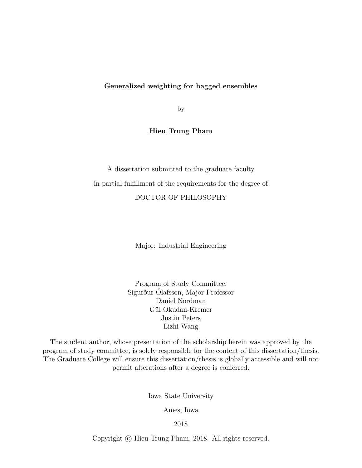### **Generalized weighting for bagged ensembles**

by

#### **Hieu Trung Pham**

A dissertation submitted to the graduate faculty in partial fulfillment of the requirements for the degree of DOCTOR OF PHILOSOPHY

Major: Industrial Engineering

Program of Study Committee: Sigurður Ólafsson, Major Professor Daniel Nordman Gül Okudan-Kremer Justin Peters Lizhi Wang

The student author, whose presentation of the scholarship herein was approved by the program of study committee, is solely responsible for the content of this dissertation/thesis. The Graduate College will ensure this dissertation/thesis is globally accessible and will not permit alterations after a degree is conferred.

Iowa State University

Ames, Iowa

2018

Copyright  $\odot$  Hieu Trung Pham, 2018. All rights reserved.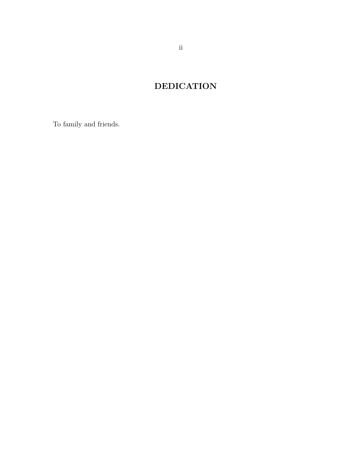**DEDICATION**

To family and friends.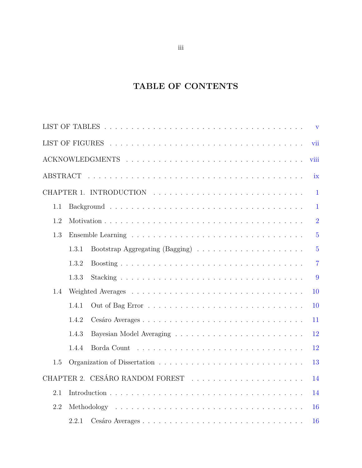## **TABLE OF CONTENTS**

|          |       |                                                                                                      | $\mathbf{V}$   |
|----------|-------|------------------------------------------------------------------------------------------------------|----------------|
|          |       |                                                                                                      | vii            |
|          |       |                                                                                                      | viii           |
| ABSTRACT |       |                                                                                                      | ix             |
|          |       |                                                                                                      | $\mathbf{1}$   |
| 1.1      |       |                                                                                                      | $\mathbf{1}$   |
| 1.2      |       |                                                                                                      | $\overline{2}$ |
| 1.3      |       |                                                                                                      | $\overline{5}$ |
|          | 1.3.1 |                                                                                                      | $\overline{5}$ |
|          | 1.3.2 |                                                                                                      | $\overline{7}$ |
|          | 1.3.3 |                                                                                                      | 9              |
| 1.4      |       |                                                                                                      | 10             |
|          | 1.4.1 |                                                                                                      | 10             |
|          | 1.4.2 |                                                                                                      | 11             |
|          | 1.4.3 |                                                                                                      | 12             |
|          | 1.4.4 |                                                                                                      | 12             |
| 1.5      |       | Organization of Dissertation $\ldots \ldots \ldots \ldots \ldots \ldots \ldots \ldots \ldots \ldots$ | 13             |
|          |       |                                                                                                      | 14             |
| 2.1      |       |                                                                                                      | 14             |
| 2.2      |       |                                                                                                      | 16             |
|          | 2.2.1 | Cesáro Averages                                                                                      | 16             |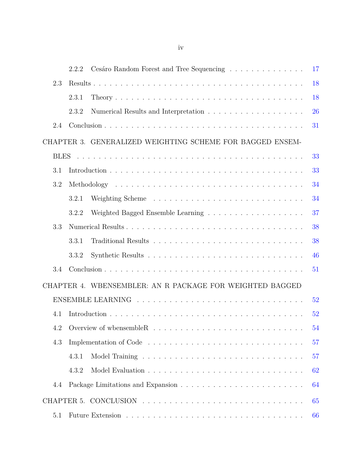|             | 2.2.2 | Cesáro Random Forest and Tree Sequencing                  | 17        |
|-------------|-------|-----------------------------------------------------------|-----------|
| 2.3         |       |                                                           | 18        |
|             | 2.3.1 |                                                           | 18        |
|             | 2.3.2 |                                                           | <b>26</b> |
| 2.4         |       |                                                           | 31        |
|             |       | CHAPTER 3. GENERALIZED WEIGHTING SCHEME FOR BAGGED ENSEM- |           |
| <b>BLES</b> |       |                                                           | 33        |
| 3.1         |       |                                                           | 33        |
| 3.2         |       |                                                           | 34        |
|             | 3.2.1 |                                                           | 34        |
|             | 3.2.2 |                                                           | 37        |
| 3.3         |       |                                                           | 38        |
|             | 3.3.1 |                                                           | 38        |
|             | 3.3.2 |                                                           | 46        |
| 3.4         |       |                                                           | 51        |
|             |       | CHAPTER 4. WBENSEMBLER: AN R PACKAGE FOR WEIGHTED BAGGED  |           |
|             |       |                                                           | 52        |
| 4.1         |       |                                                           | 52        |
| 4.2         |       |                                                           | 54        |
| 4.3         |       |                                                           | 57        |
|             | 4.3.1 |                                                           | 57        |
|             | 4.3.2 |                                                           | 62        |
| 4.4         |       |                                                           | 64        |
|             |       |                                                           | 65        |
| 5.1         |       |                                                           | 66        |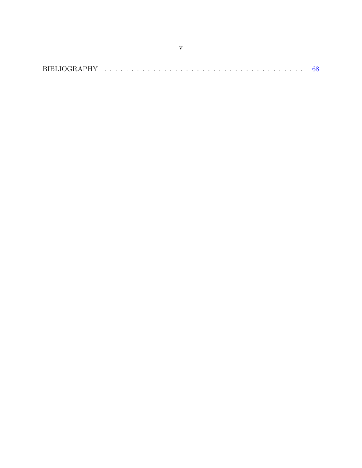| <b>BIBLIOGRAPHY</b> |  |  |  |  |  |  |  |  |  |  |  |  |  |  |  |  |  |  |
|---------------------|--|--|--|--|--|--|--|--|--|--|--|--|--|--|--|--|--|--|
|                     |  |  |  |  |  |  |  |  |  |  |  |  |  |  |  |  |  |  |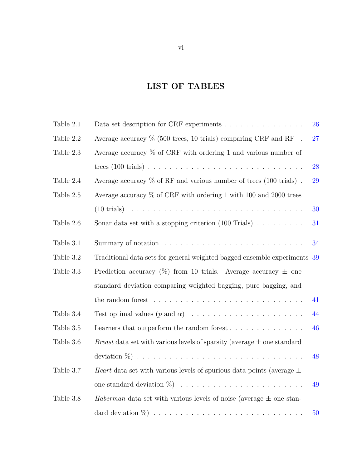# **LIST OF TABLES**

<span id="page-5-0"></span>

| Table 2.1 | Data set description for CRF experiments $\dots \dots \dots \dots \dots$                                  | 26 |
|-----------|-----------------------------------------------------------------------------------------------------------|----|
| Table 2.2 | Average accuracy $\%$ (500 trees, 10 trials) comparing CRF and RF                                         | 27 |
| Table 2.3 | Average accuracy $\%$ of CRF with ordering 1 and various number of                                        |    |
|           |                                                                                                           | 28 |
| Table 2.4 | Average accuracy $\%$ of RF and various number of trees (100 trials).                                     | 29 |
| Table 2.5 | Average accuracy $\%$ of CRF with ordering 1 with 100 and 2000 trees                                      |    |
|           | $(10 \text{ trials}) \dots \dots \dots \dots \dots \dots \dots \dots \dots \dots \dots \dots \dots$       | 30 |
| Table 2.6 | Sonar data set with a stopping criterion $(100 \text{ Trials}) \cdot \cdot \cdot \cdot \cdot \cdot \cdot$ | 31 |
| Table 3.1 |                                                                                                           | 34 |
| Table 3.2 | Traditional data sets for general weighted bagged ensemble experiments 39                                 |    |
| Table 3.3 | Prediction accuracy (%) from 10 trials. Average accuracy $\pm$ one                                        |    |
|           | standard deviation comparing weighted bagging, pure bagging, and                                          |    |
|           | the random forest $\dots \dots \dots \dots \dots \dots \dots \dots \dots \dots \dots \dots$               | 41 |
| Table 3.4 | Test optimal values $(p \text{ and } \alpha) \dots \dots \dots \dots \dots \dots \dots \dots$             | 44 |
| Table 3.5 | Learners that outperform the random forest $\dots \dots \dots \dots$                                      | 46 |
| Table 3.6 | <i>Breast</i> data set with various levels of sparsity (average $\pm$ one standard                        |    |
|           |                                                                                                           | 48 |
| Table 3.7 | <i>Heart</i> data set with various levels of spurious data points (average $\pm$                          |    |
|           |                                                                                                           | 49 |
| Table 3.8 | <i>Haberman</i> data set with various levels of noise (average $\pm$ one stan-                            |    |
|           |                                                                                                           | 50 |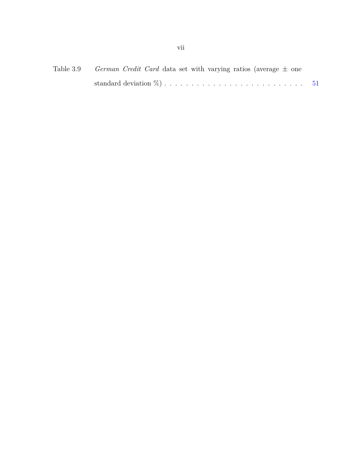Table 3.9 *German Credit Card* data set with varying ratios (average ± one standard deviation %) . . . . . . . . . . . . . . . . . . . . . . . . . . [51](#page-61-0)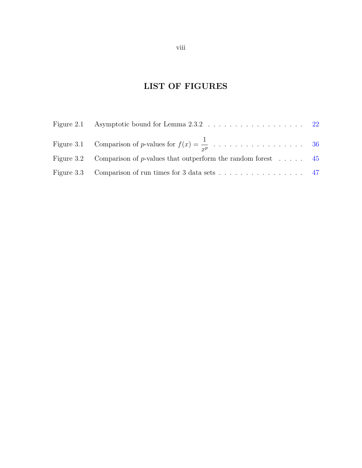## **LIST OF FIGURES**

<span id="page-7-0"></span>

| Figure 2.1 Asymptotic bound for Lemma $2.3.2 \ldots \ldots \ldots \ldots \ldots \ldots 22$  |  |
|---------------------------------------------------------------------------------------------|--|
|                                                                                             |  |
| Figure 3.2 Comparison of p-values that outperform the random forest $\dots$ 45              |  |
| Figure 3.3 Comparison of run times for 3 data sets $\dots \dots \dots \dots \dots \dots$ 47 |  |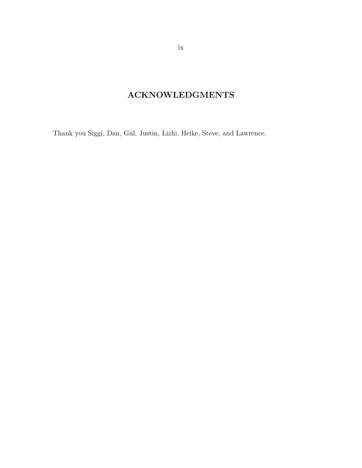# **ACKNOWLEDGMENTS**

Thank you Siggi, Dan, Gül, Justin, Lizhi, Heike, Steve, and Lawrence.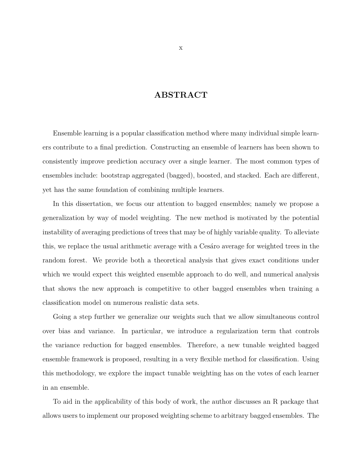## **ABSTRACT**

<span id="page-9-0"></span>Ensemble learning is a popular classification method where many individual simple learners contribute to a final prediction. Constructing an ensemble of learners has been shown to consistently improve prediction accuracy over a single learner. The most common types of ensembles include: bootstrap aggregated (bagged), boosted, and stacked. Each are different, yet has the same foundation of combining multiple learners.

In this dissertation, we focus our attention to bagged ensembles; namely we propose a generalization by way of model weighting. The new method is motivated by the potential instability of averaging predictions of trees that may be of highly variable quality. To alleviate this, we replace the usual arithmetic average with a Cesáro average for weighted trees in the random forest. We provide both a theoretical analysis that gives exact conditions under which we would expect this weighted ensemble approach to do well, and numerical analysis that shows the new approach is competitive to other bagged ensembles when training a classification model on numerous realistic data sets.

Going a step further we generalize our weights such that we allow simultaneous control over bias and variance. In particular, we introduce a regularization term that controls the variance reduction for bagged ensembles. Therefore, a new tunable weighted bagged ensemble framework is proposed, resulting in a very flexible method for classification. Using this methodology, we explore the impact tunable weighting has on the votes of each learner in an ensemble.

To aid in the applicability of this body of work, the author discusses an R package that allows users to implement our proposed weighting scheme to arbitrary bagged ensembles. The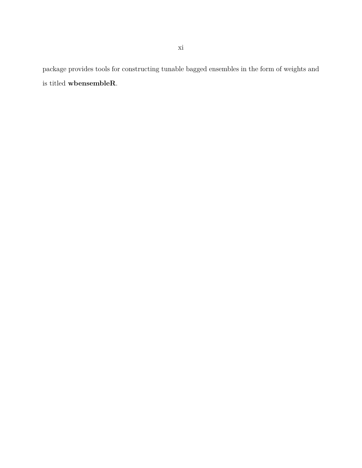package provides tools for constructing tunable bagged ensembles in the form of weights and is titled **wbensembleR**.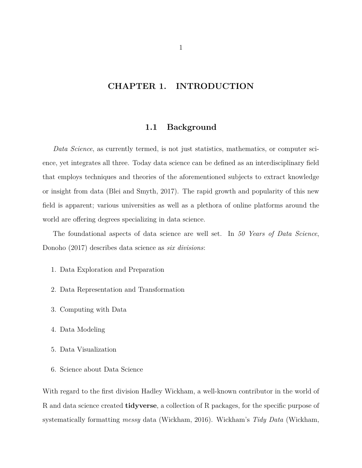## <span id="page-11-0"></span>**CHAPTER 1. INTRODUCTION**

### **1.1 Background**

*Data Science*, as currently termed, is not just statistics, mathematics, or computer science, yet integrates all three. Today data science can be defined as an interdisciplinary field that employs techniques and theories of the aforementioned subjects to extract knowledge or insight from data (Blei and Smyth, 2017). The rapid growth and popularity of this new field is apparent; various universities as well as a plethora of online platforms around the world are offering degrees specializing in data science.

The foundational aspects of data science are well set. In *50 Years of Data Science*, Donoho (2017) describes data science as *six divisions*:

- 1. Data Exploration and Preparation
- 2. Data Representation and Transformation
- 3. Computing with Data
- 4. Data Modeling
- 5. Data Visualization
- 6. Science about Data Science

With regard to the first division Hadley Wickham, a well-known contributor in the world of R and data science created **tidyverse**, a collection of R packages, for the specific purpose of systematically formatting *messy* data (Wickham, 2016). Wickham's *Tidy Data* (Wickham,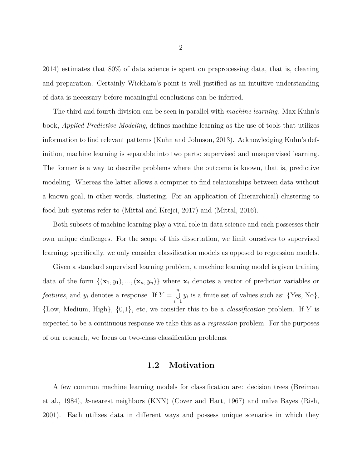<span id="page-12-0"></span>2014) estimates that 80% of data science is spent on preprocessing data, that is, cleaning and preparation. Certainly Wickham's point is well justified as an intuitive understanding of data is necessary before meaningful conclusions can be inferred.

The third and fourth division can be seen in parallel with *machine learning*. Max Kuhn's book, *Applied Predictive Modeling*, defines machine learning as the use of tools that utilizes information to find relevant patterns (Kuhn and Johnson, 2013). Acknowledging Kuhn's definition, machine learning is separable into two parts: supervised and unsupervised learning. The former is a way to describe problems where the outcome is known, that is, predictive modeling. Whereas the latter allows a computer to find relationships between data without a known goal, in other words, clustering. For an application of (hierarchical) clustering to food hub systems refer to (Mittal and Krejci, 2017) and (Mittal, 2016).

Both subsets of machine learning play a vital role in data science and each possesses their own unique challenges. For the scope of this dissertation, we limit ourselves to supervised learning; specifically, we only consider classification models as opposed to regression models.

Given a standard supervised learning problem, a machine learning model is given training data of the form  $\{(\mathbf{x}_1, y_1), ..., (\mathbf{x}_n, y_n)\}\)$  where  $\mathbf{x}_i$  denotes a vector of predictor variables or *features*, and  $y_i$  denotes a response. If  $Y = \bigcup_{i=1}^{n} Y_i$  $\bigcup_{i=1}$   $y_i$  is a finite set of values such as: {Yes, No}, {Low, Medium, High}, {0,1}, etc, we consider this to be a *classification* problem. If *Y* is expected to be a continuous response we take this as a *regression* problem. For the purposes of our research, we focus on two-class classification problems.

## **1.2 Motivation**

A few common machine learning models for classification are: decision trees (Breiman et al., 1984), *k*-nearest neighbors (KNN) (Cover and Hart, 1967) and naïve Bayes (Rish, 2001). Each utilizes data in different ways and possess unique scenarios in which they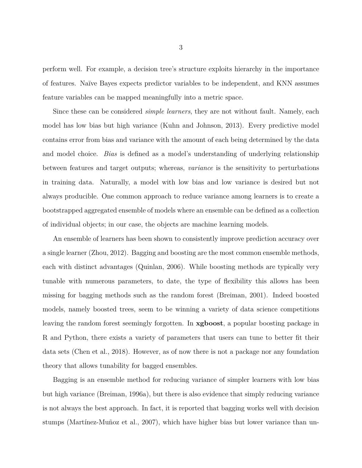perform well. For example, a decision tree's structure exploits hierarchy in the importance of features. Naïve Bayes expects predictor variables to be independent, and KNN assumes feature variables can be mapped meaningfully into a metric space.

Since these can be considered *simple learners*, they are not without fault. Namely, each model has low bias but high variance (Kuhn and Johnson, 2013). Every predictive model contains error from bias and variance with the amount of each being determined by the data and model choice. *Bias* is defined as a model's understanding of underlying relationship between features and target outputs; whereas, *variance* is the sensitivity to perturbations in training data. Naturally, a model with low bias and low variance is desired but not always producible. One common approach to reduce variance among learners is to create a bootstrapped aggregated ensemble of models where an ensemble can be defined as a collection of individual objects; in our case, the objects are machine learning models.

An ensemble of learners has been shown to consistently improve prediction accuracy over a single learner (Zhou, 2012). Bagging and boosting are the most common ensemble methods, each with distinct advantages (Quinlan, 2006). While boosting methods are typically very tunable with numerous parameters, to date, the type of flexibility this allows has been missing for bagging methods such as the random forest (Breiman, 2001). Indeed boosted models, namely boosted trees, seem to be winning a variety of data science competitions leaving the random forest seemingly forgotten. In **xgboost**, a popular boosting package in R and Python, there exists a variety of parameters that users can tune to better fit their data sets (Chen et al., 2018). However, as of now there is not a package nor any foundation theory that allows tunability for bagged ensembles.

Bagging is an ensemble method for reducing variance of simpler learners with low bias but high variance (Breiman, 1996a), but there is also evidence that simply reducing variance is not always the best approach. In fact, it is reported that bagging works well with decision stumps (Martínez-Muñoz et al., 2007), which have higher bias but lower variance than un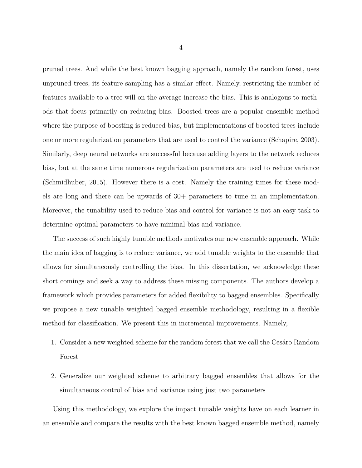pruned trees. And while the best known bagging approach, namely the random forest, uses unpruned trees, its feature sampling has a similar effect. Namely, restricting the number of features available to a tree will on the average increase the bias. This is analogous to methods that focus primarily on reducing bias. Boosted trees are a popular ensemble method where the purpose of boosting is reduced bias, but implementations of boosted trees include one or more regularization parameters that are used to control the variance (Schapire, 2003). Similarly, deep neural networks are successful because adding layers to the network reduces bias, but at the same time numerous regularization parameters are used to reduce variance (Schmidhuber, 2015). However there is a cost. Namely the training times for these models are long and there can be upwards of 30+ parameters to tune in an implementation. Moreover, the tunability used to reduce bias and control for variance is not an easy task to determine optimal parameters to have minimal bias and variance.

The success of such highly tunable methods motivates our new ensemble approach. While the main idea of bagging is to reduce variance, we add tunable weights to the ensemble that allows for simultaneously controlling the bias. In this dissertation, we acknowledge these short comings and seek a way to address these missing components. The authors develop a framework which provides parameters for added flexibility to bagged ensembles. Specifically we propose a new tunable weighted bagged ensemble methodology, resulting in a flexible method for classification. We present this in incremental improvements. Namely,

- 1. Consider a new weighted scheme for the random forest that we call the Cesáro Random Forest
- 2. Generalize our weighted scheme to arbitrary bagged ensembles that allows for the simultaneous control of bias and variance using just two parameters

Using this methodology, we explore the impact tunable weights have on each learner in an ensemble and compare the results with the best known bagged ensemble method, namely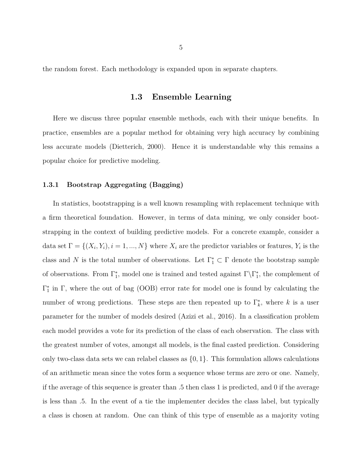<span id="page-15-0"></span>the random forest. Each methodology is expanded upon in separate chapters.

## **1.3 Ensemble Learning**

Here we discuss three popular ensemble methods, each with their unique benefits. In practice, ensembles are a popular method for obtaining very high accuracy by combining less accurate models (Dietterich, 2000). Hence it is understandable why this remains a popular choice for predictive modeling.

#### **1.3.1 Bootstrap Aggregating (Bagging)**

In statistics, bootstrapping is a well known resampling with replacement technique with a firm theoretical foundation. However, in terms of data mining, we only consider bootstrapping in the context of building predictive models. For a concrete example, consider a data set  $\Gamma = \{(X_i, Y_i), i = 1, ..., N\}$  where  $X_i$  are the predictor variables or features,  $Y_i$  is the class and *N* is the total number of observations. Let  $\Gamma_1^* \subset \Gamma$  denote the bootstrap sample of observations. From  $\Gamma_1^*$ , model one is trained and tested against  $\Gamma \backslash \Gamma_1^*$ , the complement of Γ ∗ 1 in Γ, where the out of bag (OOB) error rate for model one is found by calculating the number of wrong predictions. These steps are then repeated up to  $\Gamma_k^*$ , where *k* is a user parameter for the number of models desired (Azizi et al., 2016). In a classification problem each model provides a vote for its prediction of the class of each observation. The class with the greatest number of votes, amongst all models, is the final casted prediction. Considering only two-class data sets we can relabel classes as {0*,* 1}. This formulation allows calculations of an arithmetic mean since the votes form a sequence whose terms are zero or one. Namely, if the average of this sequence is greater than .5 then class 1 is predicted, and 0 if the average is less than .5. In the event of a tie the implementer decides the class label, but typically a class is chosen at random. One can think of this type of ensemble as a majority voting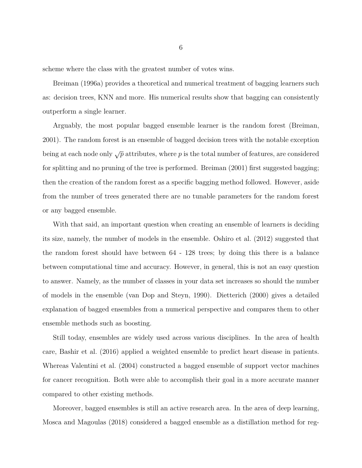scheme where the class with the greatest number of votes wins.

Breiman (1996a) provides a theoretical and numerical treatment of bagging learners such as: decision trees, KNN and more. His numerical results show that bagging can consistently outperform a single learner.

Arguably, the most popular bagged ensemble learner is the random forest (Breiman, 2001). The random forest is an ensemble of bagged decision trees with the notable exception being at each node only  $\sqrt{p}$  attributes, where p is the total number of features, are considered for splitting and no pruning of the tree is performed. Breiman (2001) first suggested bagging; then the creation of the random forest as a specific bagging method followed. However, aside from the number of trees generated there are no tunable parameters for the random forest or any bagged ensemble.

With that said, an important question when creating an ensemble of learners is deciding its size, namely, the number of models in the ensemble. Oshiro et al. (2012) suggested that the random forest should have between 64 - 128 trees; by doing this there is a balance between computational time and accuracy. However, in general, this is not an easy question to answer. Namely, as the number of classes in your data set increases so should the number of models in the ensemble (van Dop and Steyn, 1990). Dietterich (2000) gives a detailed explanation of bagged ensembles from a numerical perspective and compares them to other ensemble methods such as boosting.

Still today, ensembles are widely used across various disciplines. In the area of health care, Bashir et al. (2016) applied a weighted ensemble to predict heart disease in patients. Whereas Valentini et al. (2004) constructed a bagged ensemble of support vector machines for cancer recognition. Both were able to accomplish their goal in a more accurate manner compared to other existing methods.

Moreover, bagged ensembles is still an active research area. In the area of deep learning, Mosca and Magoulas (2018) considered a bagged ensemble as a distillation method for reg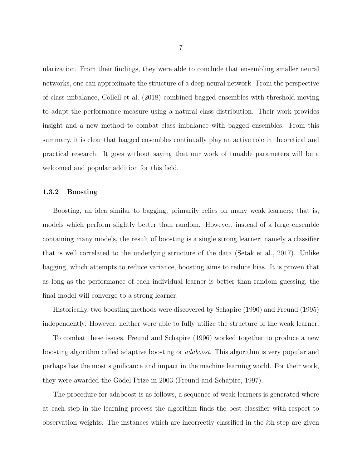<span id="page-17-0"></span>ularization. From their findings, they were able to conclude that ensembling smaller neural networks, one can approximate the structure of a deep neural network. From the perspective of class imbalance, Collell et al. (2018) combined bagged ensembles with threshold-moving to adapt the performance measure using a natural class distribution. Their work provides insight and a new method to combat class imbalance with bagged ensembles. From this summary, it is clear that bagged ensembles continually play an active role in theoretical and practical research. It goes without saying that our work of tunable parameters will be a welcomed and popular addition for this field.

#### **1.3.2 Boosting**

Boosting, an idea similar to bagging, primarily relies on many weak learners; that is, models which perform slightly better than random. However, instead of a large ensemble containing many models, the result of boosting is a single strong learner; namely a classifier that is well correlated to the underlying structure of the data (Setak et al., 2017). Unlike bagging, which attempts to reduce variance, boosting aims to reduce bias. It is proven that as long as the performance of each individual learner is better than random guessing, the final model will converge to a strong learner.

Historically, two boosting methods were discovered by Schapire (1990) and Freund (1995) independently. However, neither were able to fully utilize the structure of the weak learner.

To combat these issues, Freund and Schapire (1996) worked together to produce a new boosting algorithm called adaptive boosting or *adaboost*. This algorithm is very popular and perhaps has the most significance and impact in the machine learning world. For their work, they were awarded the Gödel Prize in 2003 (Freund and Schapire, 1997).

The procedure for adaboost is as follows, a sequence of weak learners is generated where at each step in the learning process the algorithm finds the best classifier with respect to observation weights. The instances which are incorrectly classified in the *i*th step are given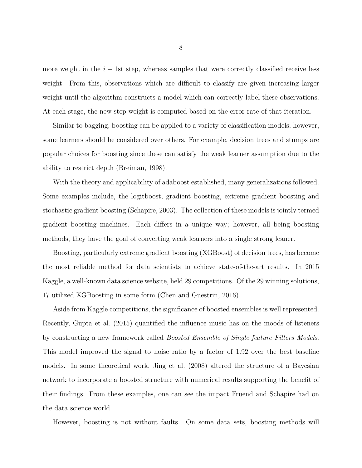more weight in the  $i + 1$ st step, whereas samples that were correctly classified receive less weight. From this, observations which are difficult to classify are given increasing larger weight until the algorithm constructs a model which can correctly label these observations. At each stage, the new step weight is computed based on the error rate of that iteration.

Similar to bagging, boosting can be applied to a variety of classification models; however, some learners should be considered over others. For example, decision trees and stumps are popular choices for boosting since these can satisfy the weak learner assumption due to the ability to restrict depth (Breiman, 1998).

With the theory and applicability of adaboost established, many generalizations followed. Some examples include, the logitboost, gradient boosting, extreme gradient boosting and stochastic gradient boosting (Schapire, 2003). The collection of these models is jointly termed gradient boosting machines. Each differs in a unique way; however, all being boosting methods, they have the goal of converting weak learners into a single strong leaner.

Boosting, particularly extreme gradient boosting (XGBoost) of decision trees, has become the most reliable method for data scientists to achieve state-of-the-art results. In 2015 Kaggle, a well-known data science website, held 29 competitions. Of the 29 winning solutions, 17 utilized XGBoosting in some form (Chen and Guestrin, 2016).

Aside from Kaggle competitions, the significance of boosted ensembles is well represented. Recently, Gupta et al. (2015) quantified the influence music has on the moods of listeners by constructing a new framework called *Boosted Ensemble of Single feature Filters Models*. This model improved the signal to noise ratio by a factor of 1.92 over the best baseline models. In some theoretical work, Jing et al. (2008) altered the structure of a Bayesian network to incorporate a boosted structure with numerical results supporting the benefit of their findings. From these examples, one can see the impact Fruend and Schapire had on the data science world.

However, boosting is not without faults. On some data sets, boosting methods will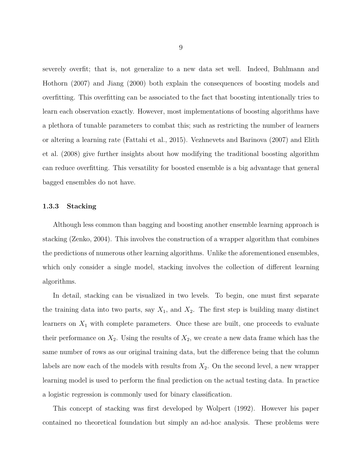<span id="page-19-0"></span>severely overfit; that is, not generalize to a new data set well. Indeed, Buhlmann and Hothorn (2007) and Jiang (2000) both explain the consequences of boosting models and overfitting. This overfitting can be associated to the fact that boosting intentionally tries to learn each observation exactly. However, most implementations of boosting algorithms have a plethora of tunable parameters to combat this; such as restricting the number of learners or altering a learning rate (Fattahi et al., 2015). Vezhnevets and Barinova (2007) and Elith et al. (2008) give further insights about how modifying the traditional boosting algorithm can reduce overfitting. This versatility for boosted ensemble is a big advantage that general bagged ensembles do not have.

#### **1.3.3 Stacking**

Although less common than bagging and boosting another ensemble learning approach is stacking (Zenko, 2004). This involves the construction of a wrapper algorithm that combines the predictions of numerous other learning algorithms. Unlike the aforementioned ensembles, which only consider a single model, stacking involves the collection of different learning algorithms.

In detail, stacking can be visualized in two levels. To begin, one must first separate the training data into two parts, say  $X_1$ , and  $X_2$ . The first step is building many distinct learners on  $X_1$  with complete parameters. Once these are built, one proceeds to evaluate their performance on  $X_2$ . Using the results of  $X_2$ , we create a new data frame which has the same number of rows as our original training data, but the difference being that the column labels are now each of the models with results from *X*2. On the second level, a new wrapper learning model is used to perform the final prediction on the actual testing data. In practice a logistic regression is commonly used for binary classification.

This concept of stacking was first developed by Wolpert (1992). However his paper contained no theoretical foundation but simply an ad-hoc analysis. These problems were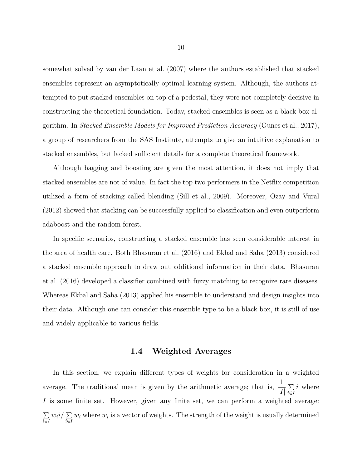<span id="page-20-0"></span>somewhat solved by van der Laan et al. (2007) where the authors established that stacked ensembles represent an asymptotically optimal learning system. Although, the authors attempted to put stacked ensembles on top of a pedestal, they were not completely decisive in constructing the theoretical foundation. Today, stacked ensembles is seen as a black box algorithm. In *Stacked Ensemble Models for Improved Prediction Accuracy* (Gunes et al., 2017), a group of researchers from the SAS Institute, attempts to give an intuitive explanation to stacked ensembles, but lacked sufficient details for a complete theoretical framework.

Although bagging and boosting are given the most attention, it does not imply that stacked ensembles are not of value. In fact the top two performers in the Netflix competition utilized a form of stacking called blending (Sill et al., 2009). Moreover, Ozay and Vural (2012) showed that stacking can be successfully applied to classification and even outperform adaboost and the random forest.

In specific scenarios, constructing a stacked ensemble has seen considerable interest in the area of health care. Both Bhasuran et al. (2016) and Ekbal and Saha (2013) considered a stacked ensemble approach to draw out additional information in their data. Bhasuran et al. (2016) developed a classifier combined with fuzzy matching to recognize rare diseases. Whereas Ekbal and Saha (2013) applied his ensemble to understand and design insights into their data. Although one can consider this ensemble type to be a black box, it is still of use and widely applicable to various fields.

## **1.4 Weighted Averages**

In this section, we explain different types of weights for consideration in a weighted average. The traditional mean is given by the arithmetic average; that is,  $\frac{1}{11}$  $\frac{1}{|I|} \sum_{i \in I}$ *i*∈*I i* where *I* is some finite set. However, given any finite set, we can perform a weighted average:  $\sum$  $\sum_{i\in I} w_i i / \sum_{i\in I} w_i$  where  $w_i$  is a vector of weights. The strength of the weight is usually determined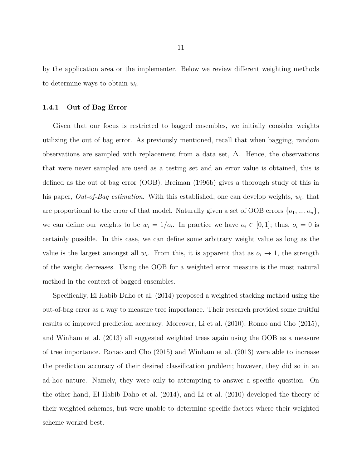<span id="page-21-0"></span>by the application area or the implementer. Below we review different weighting methods to determine ways to obtain *w<sup>i</sup>* .

#### **1.4.1 Out of Bag Error**

Given that our focus is restricted to bagged ensembles, we initially consider weights utilizing the out of bag error. As previously mentioned, recall that when bagging, random observations are sampled with replacement from a data set,  $\Delta$ . Hence, the observations that were never sampled are used as a testing set and an error value is obtained, this is defined as the out of bag error (OOB). Breiman (1996b) gives a thorough study of this in his paper, *Out-of-Bag estimation*. With this established, one can develop weights, *w<sup>i</sup>* , that are proportional to the error of that model. Naturally given a set of OOB errors  $\{o_1, ..., o_n\}$ , we can define our weights to be  $w_i = 1/\overline{o_i}$ . In practice we have  $o_i \in [0,1]$ ; thus,  $o_i = 0$  is certainly possible. In this case, we can define some arbitrary weight value as long as the value is the largest amongst all  $w_i$ . From this, it is apparent that as  $o_i \to 1$ , the strength of the weight decreases. Using the OOB for a weighted error measure is the most natural method in the context of bagged ensembles.

Specifically, El Habib Daho et al. (2014) proposed a weighted stacking method using the out-of-bag error as a way to measure tree importance. Their research provided some fruitful results of improved prediction accuracy. Moreover, Li et al. (2010), Ronao and Cho (2015), and Winham et al. (2013) all suggested weighted trees again using the OOB as a measure of tree importance. Ronao and Cho (2015) and Winham et al. (2013) were able to increase the prediction accuracy of their desired classification problem; however, they did so in an ad-hoc nature. Namely, they were only to attempting to answer a specific question. On the other hand, El Habib Daho et al. (2014), and Li et al. (2010) developed the theory of their weighted schemes, but were unable to determine specific factors where their weighted scheme worked best.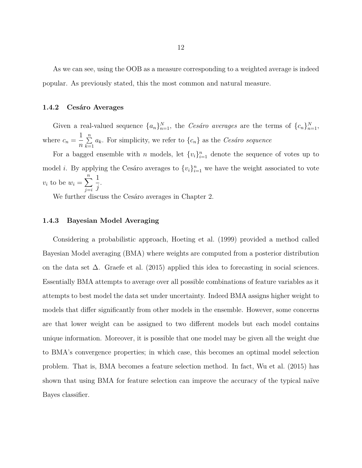<span id="page-22-0"></span>As we can see, using the OOB as a measure corresponding to a weighted average is indeed popular. As previously stated, this the most common and natural measure.

#### **1.4.2 Cesáro Averages**

Given a real-valued sequence  $\{a_n\}_{n=1}^N$ , the *Cesáro averages* are the terms of  $\{c_n\}_{n=1}^N$ , where  $c_n =$ 1 *n*  $\sum_{n=1}^{\infty}$  $\sum_{k=1} a_k$ . For simplicity, we refer to  $\{c_n\}$  as the *Cesáro sequence* 

For a bagged ensemble with *n* models, let  $\{v_i\}_{i=1}^n$  denote the sequence of votes up to model *i*. By applying the Cesáro averages to  $\{v_i\}_{i=1}^n$  we have the weight associated to vote  $v_i$  to be  $w_i = \sum^n$ *j*=*i* 1 *j* .

We further discuss the Cesáro averages in Chapter 2.

#### **1.4.3 Bayesian Model Averaging**

Considering a probabilistic approach, Hoeting et al. (1999) provided a method called Bayesian Model averaging (BMA) where weights are computed from a posterior distribution on the data set  $\Delta$ . Graefe et al. (2015) applied this idea to forecasting in social sciences. Essentially BMA attempts to average over all possible combinations of feature variables as it attempts to best model the data set under uncertainty. Indeed BMA assigns higher weight to models that differ significantly from other models in the ensemble. However, some concerns are that lower weight can be assigned to two different models but each model contains unique information. Moreover, it is possible that one model may be given all the weight due to BMA's convergence properties; in which case, this becomes an optimal model selection problem. That is, BMA becomes a feature selection method. In fact, Wu et al. (2015) has shown that using BMA for feature selection can improve the accuracy of the typical naïve Bayes classifier.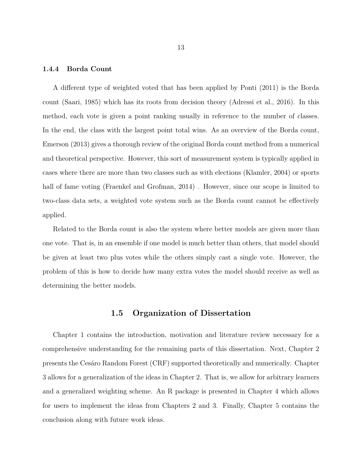#### <span id="page-23-0"></span>**1.4.4 Borda Count**

A different type of weighted voted that has been applied by Ponti (2011) is the Borda count (Saari, 1985) which has its roots from decision theory (Adressi et al., 2016). In this method, each vote is given a point ranking usually in reference to the number of classes. In the end, the class with the largest point total wins. As an overview of the Borda count, Emerson (2013) gives a thorough review of the original Borda count method from a numerical and theoretical perspective. However, this sort of measurement system is typically applied in cases where there are more than two classes such as with elections (Klamler, 2004) or sports hall of fame voting (Fraenkel and Grofman, 2014). However, since our scope is limited to two-class data sets, a weighted vote system such as the Borda count cannot be effectively applied.

Related to the Borda count is also the system where better models are given more than one vote. That is, in an ensemble if one model is much better than others, that model should be given at least two plus votes while the others simply cast a single vote. However, the problem of this is how to decide how many extra votes the model should receive as well as determining the better models.

## **1.5 Organization of Dissertation**

Chapter 1 contains the introduction, motivation and literature review necessary for a comprehensive understanding for the remaining parts of this dissertation. Next, Chapter 2 presents the Cesáro Random Forest (CRF) supported theoretically and numerically. Chapter 3 allows for a generalization of the ideas in Chapter 2. That is, we allow for arbitrary learners and a generalized weighting scheme. An R package is presented in Chapter 4 which allows for users to implement the ideas from Chapters 2 and 3. Finally, Chapter 5 contains the conclusion along with future work ideas.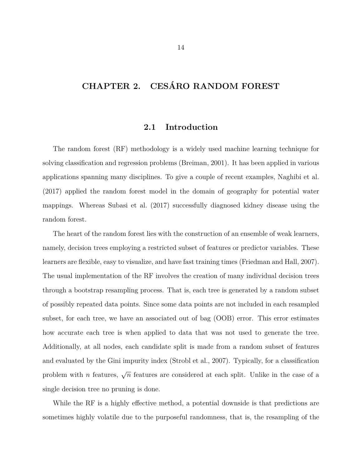# <span id="page-24-0"></span>**CHAPTER 2. CESÁRO RANDOM FOREST**

### **2.1 Introduction**

The random forest (RF) methodology is a widely used machine learning technique for solving classification and regression problems (Breiman, 2001). It has been applied in various applications spanning many disciplines. To give a couple of recent examples, Naghibi et al. (2017) applied the random forest model in the domain of geography for potential water mappings. Whereas Subasi et al. (2017) successfully diagnosed kidney disease using the random forest.

The heart of the random forest lies with the construction of an ensemble of weak learners, namely, decision trees employing a restricted subset of features or predictor variables. These learners are flexible, easy to visualize, and have fast training times (Friedman and Hall, 2007). The usual implementation of the RF involves the creation of many individual decision trees through a bootstrap resampling process. That is, each tree is generated by a random subset of possibly repeated data points. Since some data points are not included in each resampled subset, for each tree, we have an associated out of bag (OOB) error. This error estimates how accurate each tree is when applied to data that was not used to generate the tree. Additionally, at all nodes, each candidate split is made from a random subset of features and evaluated by the Gini impurity index (Strobl et al., 2007). Typically, for a classification problem with *n* features,  $\sqrt{n}$  features are considered at each split. Unlike in the case of a single decision tree no pruning is done.

While the RF is a highly effective method, a potential downside is that predictions are sometimes highly volatile due to the purposeful randomness, that is, the resampling of the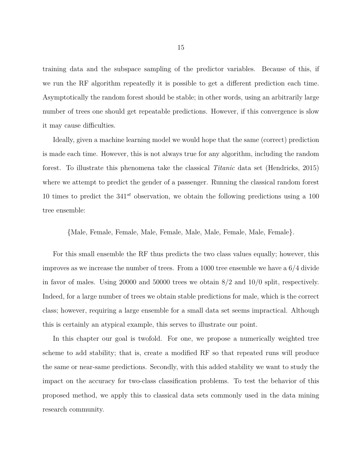training data and the subspace sampling of the predictor variables. Because of this, if we run the RF algorithm repeatedly it is possible to get a different prediction each time. Asymptotically the random forest should be stable; in other words, using an arbitrarily large number of trees one should get repeatable predictions. However, if this convergence is slow it may cause difficulties.

Ideally, given a machine learning model we would hope that the same (correct) prediction is made each time. However, this is not always true for any algorithm, including the random forest. To illustrate this phenomena take the classical *Titanic* data set (Hendricks, 2015) where we attempt to predict the gender of a passenger. Running the classical random forest 10 times to predict the 341*st* observation, we obtain the following predictions using a 100 tree ensemble:

{Male, Female, Female, Male, Female, Male, Male, Female, Male, Female}.

For this small ensemble the RF thus predicts the two class values equally; however, this improves as we increase the number of trees. From a 1000 tree ensemble we have a 6/4 divide in favor of males. Using 20000 and 50000 trees we obtain 8/2 and 10/0 split, respectively. Indeed, for a large number of trees we obtain stable predictions for male, which is the correct class; however, requiring a large ensemble for a small data set seems impractical. Although this is certainly an atypical example, this serves to illustrate our point.

In this chapter our goal is twofold. For one, we propose a numerically weighted tree scheme to add stability; that is, create a modified RF so that repeated runs will produce the same or near-same predictions. Secondly, with this added stability we want to study the impact on the accuracy for two-class classification problems. To test the behavior of this proposed method, we apply this to classical data sets commonly used in the data mining research community.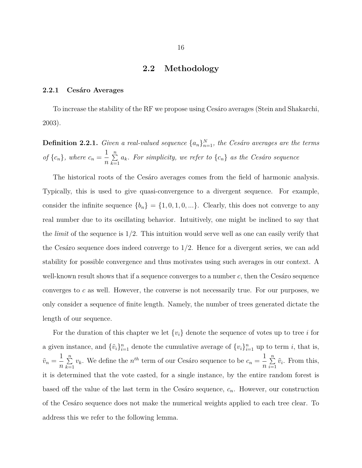## **2.2 Methodology**

#### <span id="page-26-0"></span>**2.2.1 Cesáro Averages**

To increase the stability of the RF we propose using Cesáro averages (Stein and Shakarchi, 2003).

**Definition 2.2.1.** *Given a real-valued sequence*  $\{a_n\}_{n=1}^N$ *, the Cesáro averages are the terms of*  $\{c_n\}$ *, where*  $c_n = \frac{1}{n}$ *n*  $\sum_{n=1}^{\infty}$  $\sum_{k=1} a_k$ *. For simplicity, we refer to*  $\{c_n\}$  *as the Cesáro sequence* 

The historical roots of the Cesáro averages comes from the field of harmonic analysis. Typically, this is used to give quasi-convergence to a divergent sequence. For example, consider the infinite sequence  $\{b_n\} = \{1, 0, 1, 0, ...\}$ . Clearly, this does not converge to any real number due to its oscillating behavior. Intuitively, one might be inclined to say that the *limit* of the sequence is 1/2. This intuition would serve well as one can easily verify that the Cesáro sequence does indeed converge to  $1/2$ . Hence for a divergent series, we can add stability for possible convergence and thus motivates using such averages in our context. A well-known result shows that if a sequence converges to a number *c*, then the Cesáro sequence converges to *c* as well. However, the converse is not necessarily true. For our purposes, we only consider a sequence of finite length. Namely, the number of trees generated dictate the length of our sequence.

For the duration of this chapter we let  $\{v_i\}$  denote the sequence of votes up to tree *i* for a given instance, and  ${\lbrace \tilde{v}_i \rbrace}_{i=1}^n$  denote the cumulative average of  ${\lbrace v_i \rbrace}_{i=1}^n$  up to term *i*, that is,  $\tilde{v}_n =$ 1 *n*  $\sum_{n=1}^{\infty}$  $\sum_{k=1}^{n} v_k$ . We define the *n*<sup>th</sup> term of our Cesáro sequence to be  $c_n = \frac{1}{n}$ *n*  $\sum_{n=1}^{\infty}$  $\sum_{i=1}$   $\tilde{v}_i$ . From this, it is determined that the vote casted, for a single instance, by the entire random forest is based off the value of the last term in the Cesáro sequence, *cn*. However, our construction of the Cesáro sequence does not make the numerical weights applied to each tree clear. To address this we refer to the following lemma.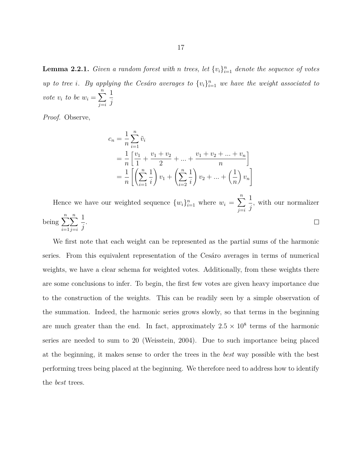**Lemma 2.2.1.** *Given a random forest with n trees, let*  $\{v_i\}_{i=1}^n$  *denote the sequence of votes up to tree i. By applying the Cesáro averages to*  $\{v_i\}_{i=1}^n$  *we have the weight associated to vote*  $v_i$  *to be*  $w_i = \sum^n$ *j*=*i* 1 *j*

*Proof.* Observe,

$$
c_n = \frac{1}{n} \sum_{i=1}^n \tilde{v}_i
$$
  
=  $\frac{1}{n} \left[ \frac{v_1}{1} + \frac{v_1 + v_2}{2} + \dots + \frac{v_1 + v_2 + \dots + v_n}{n} \right]$   
=  $\frac{1}{n} \left[ \left( \sum_{i=1}^n \frac{1}{i} \right) v_1 + \left( \sum_{i=2}^n \frac{1}{i} \right) v_2 + \dots + \left( \frac{1}{n} \right) v_n \right]$ 

Hence we have our weighted sequence  $\{w_i\}_{i=1}^n$  where  $w_i = \sum^n$ 1 , with our normalizer *j j*=*i* being  $\sum_{n=1}^n$  $\sum_{n=1}^{\infty}$ 1 .  $\Box$ *j i*=1 *j*=*i*

We first note that each weight can be represented as the partial sums of the harmonic series. From this equivalent representation of the Cesáro averages in terms of numerical weights, we have a clear schema for weighted votes. Additionally, from these weights there are some conclusions to infer. To begin, the first few votes are given heavy importance due to the construction of the weights. This can be readily seen by a simple observation of the summation. Indeed, the harmonic series grows slowly, so that terms in the beginning are much greater than the end. In fact, approximately  $2.5 \times 10^8$  terms of the harmonic series are needed to sum to 20 (Weisstein, 2004). Due to such importance being placed at the beginning, it makes sense to order the trees in the *best* way possible with the best performing trees being placed at the beginning. We therefore need to address how to identify the *best* trees.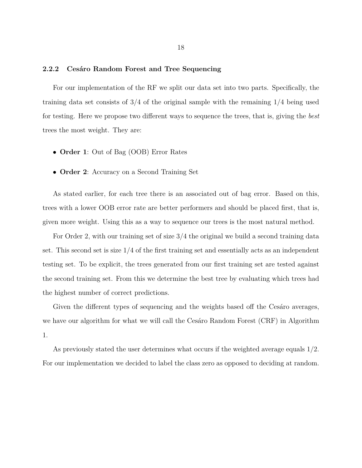#### <span id="page-28-0"></span>**2.2.2 Cesáro Random Forest and Tree Sequencing**

For our implementation of the RF we split our data set into two parts. Specifically, the training data set consists of  $3/4$  of the original sample with the remaining  $1/4$  being used for testing. Here we propose two different ways to sequence the trees, that is, giving the *best* trees the most weight. They are:

- **Order 1**: Out of Bag (OOB) Error Rates
- **Order 2**: Accuracy on a Second Training Set

As stated earlier, for each tree there is an associated out of bag error. Based on this, trees with a lower OOB error rate are better performers and should be placed first, that is, given more weight. Using this as a way to sequence our trees is the most natural method.

For Order 2, with our training set of size 3/4 the original we build a second training data set. This second set is size 1/4 of the first training set and essentially acts as an independent testing set. To be explicit, the trees generated from our first training set are tested against the second training set. From this we determine the best tree by evaluating which trees had the highest number of correct predictions.

Given the different types of sequencing and the weights based off the Cesáro averages, we have our algorithm for what we will call the Cesáro Random Forest (CRF) in Algorithm 1.

As previously stated the user determines what occurs if the weighted average equals 1/2. For our implementation we decided to label the class zero as opposed to deciding at random.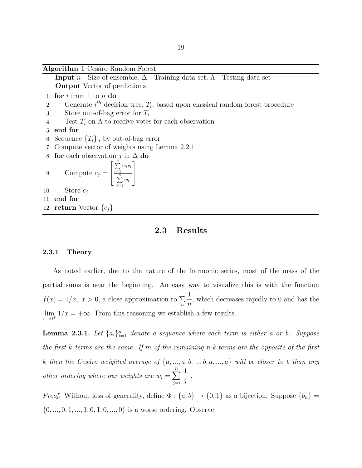<span id="page-29-0"></span>**Algorithm 1** Cesáro Random Forest

**Input**  $n$  - Size of ensemble,  $\Delta$  - Training data set,  $\Lambda$  - Testing data set **Output** Vector of predictions

- 1: **for** *i* from 1 to *n* **do**
- 2: Generate  $i^{th}$  decision tree,  $T_i$ , based upon classical random forest procedure
- 3: Store out-of-bag error for *T<sup>i</sup>*
- 4: Test  $T_i$  on  $\Lambda$  to receive votes for each observation

1  $\overline{1}$  $\overline{1}$ 

- 5: **end for**
- 6: Sequence  ${T_i}_n$  by out-of-bag error
- 7: Compute vector of weights using Lemma 2.2.1
- 8: **for** each observation *j* in  $\Delta$  **do**

9: Compute 
$$
c_j = \begin{bmatrix} \sum_{i=1}^{n} w_i v_i \\ \sum_{i=1}^{n} w_i \end{bmatrix}
$$

- 10: Store *c<sup>j</sup>*
- 11: **end for**

12: **return** Vector  $\{c_j\}$ 

## **2.3 Results**

#### **2.3.1 Theory**

As noted earlier, due to the nature of the harmonic series, most of the mass of the partial sums is near the beginning. An easy way to visualize this is with the function  $f(x) = 1/x$ ,  $x > 0$ , a close approximation to  $\sum_{n=1}^{\infty}$ 1 *n* , which decreases rapidly to 0 and has the  $\lim_{x\to 0^+} 1/x = +\infty$ . From this reasoning we establish a few results.

**Lemma 2.3.1.** Let  $\{a_i\}_{i=1}^n$  denote a sequence where each term is either a or b. Suppose *the first k terms are the same. If m of the remaining n-k terms are the opposite of the first k then the Cesáro weighted average of* {*a, ..., a, b, ..., b, a, ..., a*} *will be closer to b than any other ordering where our weights are*  $w_i = \sum^n$ *j*=*i* 1 *j .*

*Proof.* Without loss of generality, define  $\Phi$  :  $\{a, b\} \rightarrow \{0, 1\}$  as a bijection. Suppose  $\{b_n\}$  = {0*, ...,* 0*,* 1*, ...,* 1*,* 0*,* 1*,* 0*, ...,* 0} is a worse ordering. Observe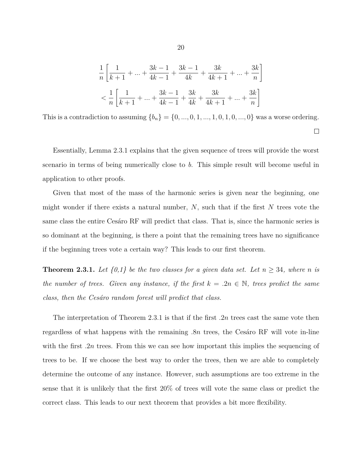$$
\frac{1}{n} \left[ \frac{1}{k+1} + \dots + \frac{3k-1}{4k-1} + \frac{3k-1}{4k} + \frac{3k}{4k+1} + \dots + \frac{3k}{n} \right]
$$
  

$$
< \frac{1}{n} \left[ \frac{1}{k+1} + \dots + \frac{3k-1}{4k-1} + \frac{3k}{4k} + \frac{3k}{4k+1} + \dots + \frac{3k}{n} \right]
$$

This is a contradiction to assuming  $\{b_n\} = \{0, ..., 0, 1, ..., 1, 0, 1, 0, ..., 0\}$  was a worse ordering.

 $\Box$ 

Essentially, Lemma 2.3.1 explains that the given sequence of trees will provide the worst scenario in terms of being numerically close to *b*. This simple result will become useful in application to other proofs.

Given that most of the mass of the harmonic series is given near the beginning, one might wonder if there exists a natural number, *N*, such that if the first *N* trees vote the same class the entire Cesáro RF will predict that class. That is, since the harmonic series is so dominant at the beginning, is there a point that the remaining trees have no significance if the beginning trees vote a certain way? This leads to our first theorem.

**Theorem 2.3.1.** Let  $\{0,1\}$  be the two classes for a given data set. Let  $n \geq 34$ , where n is *the number of trees. Given any instance, if the first*  $k = .2n \in \mathbb{N}$ *, trees predict the same class, then the Cesáro random forest will predict that class.*

The interpretation of Theorem 2.3.1 is that if the first *.*2*n* trees cast the same vote then regardless of what happens with the remaining *.*8*n* trees, the Cesáro RF will vote in-line with the first *2n* trees. From this we can see how important this implies the sequencing of trees to be. If we choose the best way to order the trees, then we are able to completely determine the outcome of any instance. However, such assumptions are too extreme in the sense that it is unlikely that the first 20% of trees will vote the same class or predict the correct class. This leads to our next theorem that provides a bit more flexibility.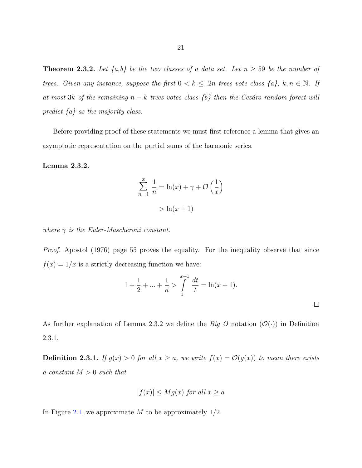**Theorem 2.3.2.** Let  $\{a,b\}$  be the two classes of a data set. Let  $n \geq 59$  be the number of *trees. Given any instance, suppose the first*  $0 < k \leq .2n$  *trees vote class*  $\{a\}, k, n \in \mathbb{N}$ *. If at most* 3*k of the remaining n* − *k trees votes class {b} then the Cesáro random forest will predict {a} as the majority class.*

Before providing proof of these statements we must first reference a lemma that gives an asymptotic representation on the partial sums of the harmonic series.

**Lemma 2.3.2.**

$$
\sum_{n=1}^{x} \frac{1}{n} = \ln(x) + \gamma + \mathcal{O}\left(\frac{1}{x}\right)
$$

$$
> \ln(x+1)
$$

*where γ is the Euler-Mascheroni constant.*

*Proof.* Apostol (1976) page 55 proves the equality. For the inequality observe that since  $f(x) = 1/x$  is a strictly decreasing function we have:

$$
1 + \frac{1}{2} + \dots + \frac{1}{n} > \int_{1}^{x+1} \frac{dt}{t} = \ln(x+1).
$$

As further explanation of Lemma 2.3.2 we define the *Big O* notation  $(\mathcal{O}(\cdot))$  in Definition 2.3.1.

**Definition 2.3.1.** *If*  $g(x) > 0$  *for all*  $x \ge a$ *, we write*  $f(x) = \mathcal{O}(g(x))$  *to mean there exists a constant M >* 0 *such that*

$$
|f(x)| \le Mg(x) \text{ for all } x \ge a
$$

In Figure [2.1,](#page-32-0) we approximate *M* to be approximately 1/2.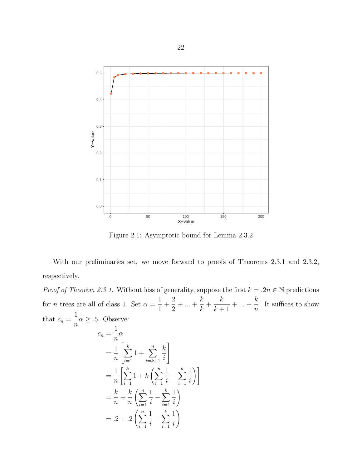<span id="page-32-0"></span>

Figure 2.1: Asymptotic bound for Lemma 2.3.2

With our preliminaries set, we move forward to proofs of Theorems 2.3.1 and 2.3.2, respectively.

*Proof of Theorem 2.3.1.* Without loss of generality, suppose the first  $k = .2n \in \mathbb{N}$  predictions for *n* trees are all of class 1. Set  $\alpha =$ 1 1  $+$ 2 2 + *...* + *k k*  $+$ *k*  $k+1$ + *...* + *k n* . It suffices to show that  $c_n =$ 1 *n*  $\alpha \geq .5$ . Observe:  $c_n =$ 1 *n α* = 1 *n*  $\lceil$  $\sum$ *k i*=1  $1 + \sum_{1}^{n}$ *i*=*k*+1 *k i* 1  $\overline{1}$ = 1 *n*  $\left[\frac{k}{\sum_{i=1}^{k}}\right]$ *i*=1  $1 + k \left(\sum_{n=1}^n x^n\right)$ *i*=1 1 *i* − X *k i*=1 1 *i*  $\setminus$  ] = *k n*  $+$ *k n*  $\left(\sum_{n=1}^{n}$ *i*=1 1 *i* − X *k i*=1 1 *i*  $\setminus$  $= .2 + .2 \left( \sum_{n=1}^{n} \right)$ *i*=1 1 *i* − X *k i*=1 1 *i*  $\setminus$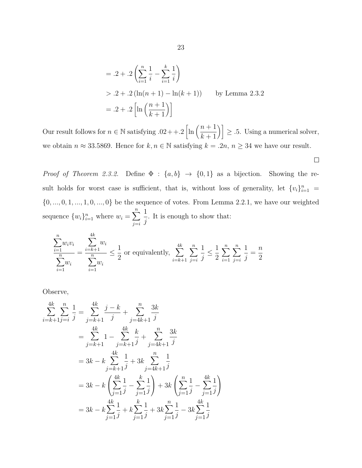$$
= .2 + .2\left(\sum_{i=1}^{n} \frac{1}{i} - \sum_{i=1}^{k} \frac{1}{i}\right)
$$
  
> .2 + .2 (ln(n + 1) - ln(k + 1)) by Lemma 2.3.2  
= .2 + .2  $\left[\ln\left(\frac{n+1}{k+1}\right)\right]$ 

Our result follows for  $n \in \mathbb{N}$  satisfying  $.02++.2\left[\ln\left(\frac{n+1}{k+1}\right)\right] \geq .5$ . Using a numerical solver, we obtain  $n \approx 33.5869$ . Hence for  $k, n \in \mathbb{N}$  satisfying  $k = .2n, n \geq 34$  we have our result.

 $\Box$ 

*Proof of Theorem 2.3.2.* Define  $\Phi$  :  $\{a, b\}$   $\rightarrow$   $\{0, 1\}$  as a bijection. Showing the result holds for worst case is sufficient, that is, without loss of generality, let  $\{v_i\}_{i=1}^n$  =  $\{0, \ldots, 0, 1, \ldots, 1, 0, \ldots, 0\}$  be the sequence of votes. From Lemma 2.2.1, we have our weighted sequence  ${w_i}_{i=1}^n$  where  $w_i = \sum^n_i$ *j*=*i* 1 *j* . It is enough to show that:

$$
\frac{\sum_{i=1}^{n} w_i v_i}{\sum_{i=1}^{n} w_i} = \frac{\sum_{i=k+1}^{4k} w_i}{\sum_{i=1}^{n} w_i} \le \frac{1}{2}
$$
 or equivalently, 
$$
\sum_{i=k+1}^{4k} \sum_{j=i}^{n} \frac{1}{j} \le \frac{1}{2} \sum_{i=1}^{n} \sum_{j=i}^{n} \frac{1}{j} = \frac{n}{2}
$$

Observe,

$$
\sum_{i=k+1}^{4k} \sum_{j=i}^{n} \frac{1}{j} = \sum_{j=k+1}^{4k} \frac{j-k}{j} + \sum_{j=4k+1}^{n} \frac{3k}{j}
$$
  
\n
$$
= \sum_{j=k+1}^{4k} 1 - \sum_{j=k+1}^{4k} \frac{k}{j} + \sum_{j=4k+1}^{n} \frac{3k}{j}
$$
  
\n
$$
= 3k - k \sum_{j=k+1}^{4k} \frac{1}{j} + 3k \sum_{j=4k+1}^{n} \frac{1}{j}
$$
  
\n
$$
= 3k - k \left( \sum_{j=1}^{4k} \frac{1}{j} - \sum_{j=1}^{k} \frac{1}{j} \right) + 3k \left( \sum_{j=1}^{n} \frac{1}{j} - \sum_{j=1}^{4k} \frac{1}{j} \right)
$$
  
\n
$$
= 3k - k \sum_{j=1}^{4k} \frac{1}{j} + k \sum_{j=1}^{k} \frac{1}{j} + 3k \sum_{j=1}^{n} \frac{1}{j} - 3k \sum_{j=1}^{4k} \frac{1}{j}
$$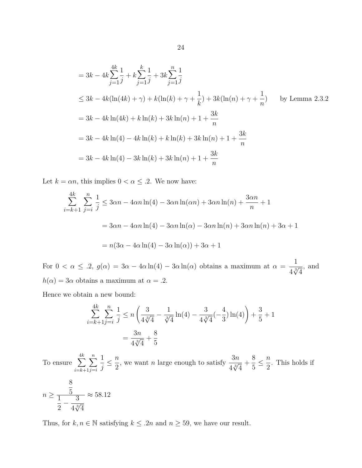$$
= 3k - 4k \sum_{j=1}^{4k} \frac{1}{j} + k \sum_{j=1}^{k} \frac{1}{j} + 3k \sum_{j=1}^{n} \frac{1}{j}
$$
  
\n
$$
\leq 3k - 4k(\ln(4k) + \gamma) + k(\ln(k) + \gamma + \frac{1}{k}) + 3k(\ln(n) + \gamma + \frac{1}{n}) \quad \text{by Lemma 2.3.2}
$$
  
\n
$$
= 3k - 4k \ln(4k) + k \ln(k) + 3k \ln(n) + 1 + \frac{3k}{n}
$$
  
\n
$$
= 3k - 4k \ln(4) - 4k \ln(k) + k \ln(k) + 3k \ln(n) + 1 + \frac{3k}{n}
$$
  
\n
$$
= 3k - 4k \ln(4) - 3k \ln(k) + 3k \ln(n) + 1 + \frac{3k}{n}
$$

Let  $k = \alpha n$ , this implies  $0 < \alpha \leq .2$ . We now have:

$$
\sum_{i=k+1}^{4k} \sum_{j=i}^{n} \frac{1}{j} \le 3\alpha n - 4\alpha n \ln(4) - 3\alpha n \ln(\alpha n) + 3\alpha n \ln(n) + \frac{3\alpha n}{n} + 1
$$
  
= 3\alpha n - 4\alpha n \ln(4) - 3\alpha n \ln(\alpha) - 3\alpha n \ln(n) + 3\alpha n \ln(n) + 3\alpha + 1  
= n(3\alpha - 4\alpha \ln(4) - 3\alpha \ln(\alpha)) + 3\alpha + 1

For  $0 < \alpha \leq .2$ ,  $g(\alpha) = 3\alpha - 4\alpha \ln(4) - 3\alpha \ln(\alpha)$  obtains a maximum at  $\alpha = \frac{1}{13}$  $\frac{1}{4\sqrt[3]{4}}$ , and  $h(\alpha) = 3\alpha$  obtains a maximum at  $\alpha = .2$ .

Hence we obtain a new bound:

$$
\sum_{i=k+1}^{4k} \sum_{j=i}^{n} \frac{1}{j} \le n \left( \frac{3}{4\sqrt[3]{4}} - \frac{1}{\sqrt[3]{4}} \ln(4) - \frac{3}{4\sqrt[3]{4}} (-\frac{4}{3}) \ln(4) \right) + \frac{3}{5} + 1
$$

$$
= \frac{3n}{4\sqrt[3]{4}} + \frac{8}{5}
$$

To ensure  $\sum$ 4*k i*=*k*+1  $\sum_{n=1}^{\infty}$ *j*=*i* 1 *j*  $\leq \frac{n}{2}$ 2 , we want *n* large enough to satisfy  $\frac{3n}{13}$  $rac{3n}{4\sqrt[3]{4}}$  $+$ 8 5  $\leq \frac{n}{2}$ 2 . This holds if  $n \geq$ 8 5 1 2  $-\frac{3}{13}$  $rac{6}{4\sqrt[3]{4}}$  $\approx 58.12$ 

Thus, for  $k, n \in \mathbb{N}$  satisfying  $k \leq .2n$  and  $n \geq 59$ , we have our result.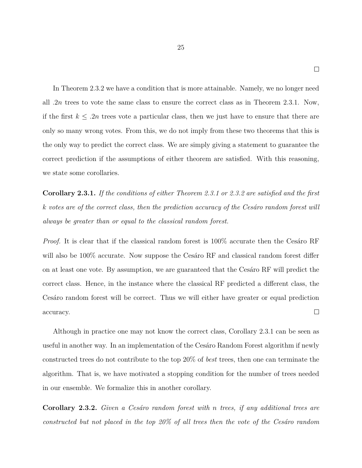In Theorem 2.3.2 we have a condition that is more attainable. Namely, we no longer need all *.*2*n* trees to vote the same class to ensure the correct class as in Theorem 2.3.1. Now, if the first  $k \leq 2n$  trees vote a particular class, then we just have to ensure that there are only so many wrong votes. From this, we do not imply from these two theorems that this is the only way to predict the correct class. We are simply giving a statement to guarantee the correct prediction if the assumptions of either theorem are satisfied. With this reasoning, we state some corollaries.

**Corollary 2.3.1.** *If the conditions of either Theorem 2.3.1 or 2.3.2 are satisfied and the first k votes are of the correct class, then the prediction accuracy of the Cesáro random forest will always be greater than or equal to the classical random forest.*

*Proof.* It is clear that if the classical random forest is 100% accurate then the Cesáro RF will also be  $100\%$  accurate. Now suppose the Cesáro RF and classical random forest differ on at least one vote. By assumption, we are guaranteed that the Cesáro RF will predict the correct class. Hence, in the instance where the classical RF predicted a different class, the Cesáro random forest will be correct. Thus we will either have greater or equal prediction  $\Box$ accuracy.

Although in practice one may not know the correct class, Corollary 2.3.1 can be seen as useful in another way. In an implementation of the Cesáro Random Forest algorithm if newly constructed trees do not contribute to the top 20% of *best* trees, then one can terminate the algorithm. That is, we have motivated a stopping condition for the number of trees needed in our ensemble. We formalize this in another corollary.

**Corollary 2.3.2.** *Given a Cesáro random forest with n trees, if any additional trees are constructed but not placed in the top 20% of all trees then the vote of the Cesáro random*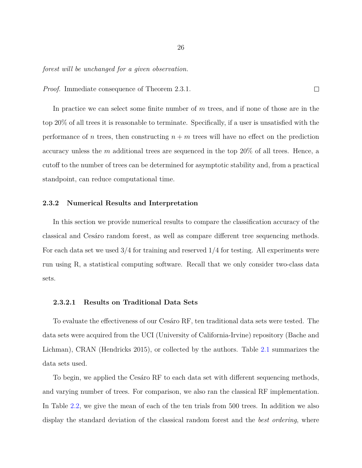*forest will be unchanged for a given observation.*

*Proof.* Immediate consequence of Theorem 2.3.1.

In practice we can select some finite number of *m* trees, and if none of those are in the top 20% of all trees it is reasonable to terminate. Specifically, if a user is unsatisfied with the performance of *n* trees, then constructing  $n + m$  trees will have no effect on the prediction accuracy unless the *m* additional trees are sequenced in the top 20% of all trees. Hence, a cutoff to the number of trees can be determined for asymptotic stability and, from a practical standpoint, can reduce computational time.

#### **2.3.2 Numerical Results and Interpretation**

In this section we provide numerical results to compare the classification accuracy of the classical and Cesáro random forest, as well as compare different tree sequencing methods. For each data set we used  $3/4$  for training and reserved  $1/4$  for testing. All experiments were run using R, a statistical computing software. Recall that we only consider two-class data sets.

#### **2.3.2.1 Results on Traditional Data Sets**

To evaluate the effectiveness of our Cesáro RF, ten traditional data sets were tested. The data sets were acquired from the UCI (University of California-Irvine) repository (Bache and Lichman), CRAN (Hendricks 2015), or collected by the authors. Table [2.1](#page-37-0) summarizes the data sets used.

To begin, we applied the Cesáro RF to each data set with different sequencing methods, and varying number of trees. For comparison, we also ran the classical RF implementation. In Table [2.2,](#page-37-0) we give the mean of each of the ten trials from 500 trees. In addition we also display the standard deviation of the classical random forest and the *best ordering*, where

 $\Box$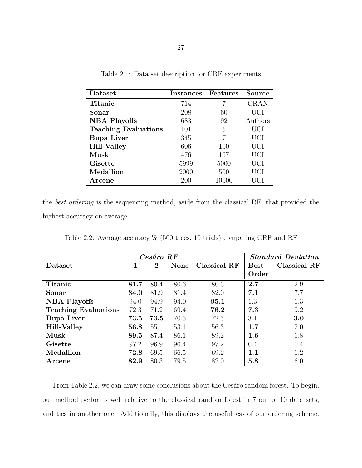| Dataset                     | <b>Instances</b> | <b>Features</b> | Source     |
|-----------------------------|------------------|-----------------|------------|
| <b>Titanic</b>              | 714              | 7               | CRAN       |
| Sonar                       | 208              | 60              | UCI        |
| <b>NBA Playoffs</b>         | 683              | 92              | Authors    |
| <b>Teaching Evaluations</b> | 101              | 5               | UCI        |
| <b>Bupa Liver</b>           | 345              |                 | UCI        |
| <b>Hill-Valley</b>          | 606              | 100             | UCI        |
| Musk                        | 476              | 167             | <b>UCI</b> |
| Gisette                     | 5999             | 5000            | UCI        |
| Medallion                   | 2000             | 500             | UCI        |
| Arcene                      | 200              | 10000           | UCI        |

<span id="page-37-0"></span>Table 2.1: Data set description for CRF experiments

the *best ordering* is the sequencing method, aside from the classical RF, that provided the highest accuracy on average.

|                             |      | Cesáro RF |             |              | <b>Standard Deviation</b> |              |  |
|-----------------------------|------|-----------|-------------|--------------|---------------------------|--------------|--|
| Dataset                     | 1    | $\bf{2}$  | <b>None</b> | Classical RF | <b>Best</b>               | Classical RF |  |
|                             |      |           |             |              | Order                     |              |  |
| Titanic                     | 81.7 | 80.4      | 80.6        | 80.3         | 2.7                       | 2.9          |  |
| Sonar                       | 84.0 | 81.9      | 81.4        | 82.0         | 7.1                       | 7.7          |  |
| <b>NBA Playoffs</b>         | 94.0 | 94.9      | 94.0        | 95.1         | 1.3                       | 1.3          |  |
| <b>Teaching Evaluations</b> | 72.3 | 71.2      | 69.4        | 76.2         | 7.3                       | 9.2          |  |
| <b>Bupa Liver</b>           | 73.5 | 73.5      | 70.5        | 72.5         | 3.1                       | 3.0          |  |
| <b>Hill-Valley</b>          | 56.8 | 55.1      | 53.1        | 56.3         | 1.7                       | 2.0          |  |
| Musk                        | 89.5 | 87.4      | 86.1        | 89.2         | $1.6\,$                   | 1.8          |  |
| Gisette                     | 97.2 | 96.9      | 96.4        | 97.2         | 0.4                       | 0.4          |  |
| Medallion                   | 72.8 | 69.5      | 66.5        | 69.2         | 1.1                       | 1.2          |  |
| Arcene                      | 82.9 | 80.3      | 79.5        | 82.0         | 5.8                       | 6.0          |  |

Table 2.2: Average accuracy % (500 trees, 10 trials) comparing CRF and RF

From Table 2.2, we can draw some conclusions about the Cesáro random forest. To begin, our method performs well relative to the classical random forest in 7 out of 10 data sets, and ties in another one. Additionally, this displays the usefulness of our ordering scheme.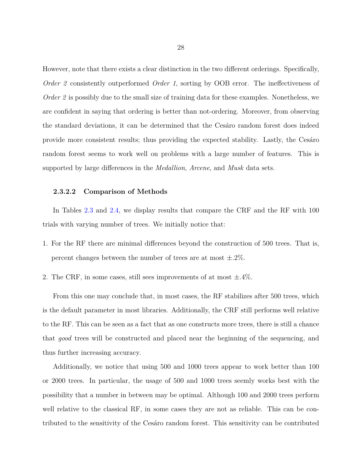However, note that there exists a clear distinction in the two different orderings. Specifically, *Order 2* consistently outperformed *Order 1*, sorting by OOB error. The ineffectiveness of *Order 2* is possibly due to the small size of training data for these examples. Nonetheless, we are confident in saying that ordering is better than not-ordering. Moreover, from observing the standard deviations, it can be determined that the Cesáro random forest does indeed provide more consistent results; thus providing the expected stability. Lastly, the Cesáro random forest seems to work well on problems with a large number of features. This is supported by large differences in the *Medallion*, *Arcene*, and *Musk* data sets.

### **2.3.2.2 Comparison of Methods**

In Tables [2.3](#page-39-0) and [2.4,](#page-40-0) we display results that compare the CRF and the RF with 100 trials with varying number of trees. We initially notice that:

- 1. For the RF there are minimal differences beyond the construction of 500 trees. That is, percent changes between the number of trees are at most ±*.*2%.
- 2. The CRF, in some cases, still sees improvements of at most ±*.*4%.

From this one may conclude that, in most cases, the RF stabilizes after 500 trees, which is the default parameter in most libraries. Additionally, the CRF still performs well relative to the RF. This can be seen as a fact that as one constructs more trees, there is still a chance that *good* trees will be constructed and placed near the beginning of the sequencing, and thus further increasing accuracy.

Additionally, we notice that using 500 and 1000 trees appear to work better than 100 or 2000 trees. In particular, the usage of 500 and 1000 trees seemly works best with the possibility that a number in between may be optimal. Although 100 and 2000 trees perform well relative to the classical RF, in some cases they are not as reliable. This can be contributed to the sensitivity of the Cesáro random forest. This sensitivity can be contributed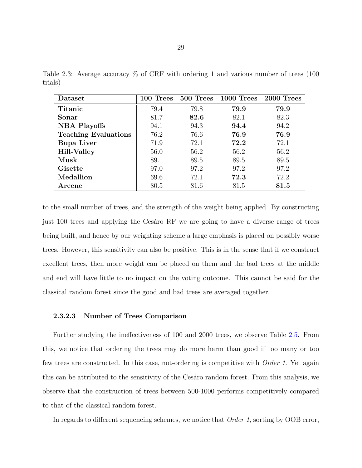| Dataset                     | 100 Trees | 500 Trees | 1000 Trees | 2000 Trees |
|-----------------------------|-----------|-----------|------------|------------|
| <b>Titanic</b>              | 79.4      | 79.8      | 79.9       | 79.9       |
| Sonar                       | 81.7      | 82.6      | 82.1       | 82.3       |
| <b>NBA Playoffs</b>         | 94.1      | 94.3      | 94.4       | 94.2       |
| <b>Teaching Evaluations</b> | 76.2      | 76.6      | 76.9       | 76.9       |
| <b>Bupa Liver</b>           | 71.9      | 72.1      | 72.2       | 72.1       |
| <b>Hill-Valley</b>          | 56.0      | 56.2      | 56.2       | 56.2       |
| Musk                        | 89.1      | 89.5      | 89.5       | 89.5       |
| <b>Gisette</b>              | 97.0      | 97.2      | 97.2       | 97.2       |
| Medallion                   | 69.6      | 72.1      | 72.3       | 72.2       |
| Arcene                      | 80.5      | 81.6      | 81.5       | 81.5       |

<span id="page-39-0"></span>Table 2.3: Average accuracy % of CRF with ordering 1 and various number of trees (100 trials)

to the small number of trees, and the strength of the weight being applied. By constructing just 100 trees and applying the Cesáro RF we are going to have a diverse range of trees being built, and hence by our weighting scheme a large emphasis is placed on possibly worse trees. However, this sensitivity can also be positive. This is in the sense that if we construct excellent trees, then more weight can be placed on them and the bad trees at the middle and end will have little to no impact on the voting outcome. This cannot be said for the classical random forest since the good and bad trees are averaged together.

## **2.3.2.3 Number of Trees Comparison**

Further studying the ineffectiveness of 100 and 2000 trees, we observe Table [2.5.](#page-41-0) From this, we notice that ordering the trees may do more harm than good if too many or too few trees are constructed. In this case, not-ordering is competitive with *Order 1*. Yet again this can be attributed to the sensitivity of the Cesáro random forest. From this analysis, we observe that the construction of trees between 500-1000 performs competitively compared to that of the classical random forest.

In regards to different sequencing schemes, we notice that *Order 1*, sorting by OOB error,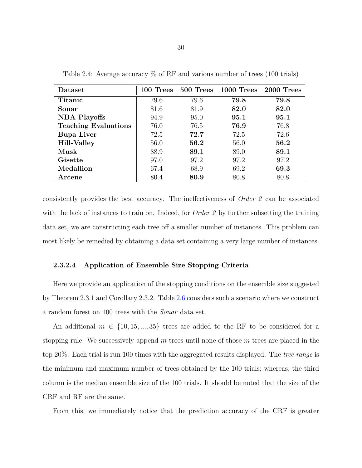| Dataset                     | 100 Trees |      | 500 Trees 1000 Trees | 2000 Trees |
|-----------------------------|-----------|------|----------------------|------------|
| <b>Titanic</b>              | 79.6      | 79.6 | 79.8                 | 79.8       |
| Sonar                       | 81.6      | 81.9 | 82.0                 | 82.0       |
| <b>NBA Playoffs</b>         | 94.9      | 95.0 | 95.1                 | 95.1       |
| <b>Teaching Evaluations</b> | 76.0      | 76.5 | 76.9                 | 76.8       |
| <b>Bupa Liver</b>           | 72.5      | 72.7 | 72.5                 | 72.6       |
| <b>Hill-Valley</b>          | 56.0      | 56.2 | 56.0                 | 56.2       |
| Musk                        | 88.9      | 89.1 | 89.0                 | 89.1       |
| <b>Gisette</b>              | 97.0      | 97.2 | 97.2                 | 97.2       |
| Medallion                   | 67.4      | 68.9 | 69.2                 | 69.3       |
| Arcene                      | 80.4      | 80.9 | 80.8                 | 80.8       |

<span id="page-40-0"></span>Table 2.4: Average accuracy % of RF and various number of trees (100 trials)

consistently provides the best accuracy. The ineffectiveness of *Order 2* can be associated with the lack of instances to train on. Indeed, for *Order 2* by further subsetting the training data set, we are constructing each tree off a smaller number of instances. This problem can most likely be remedied by obtaining a data set containing a very large number of instances.

## **2.3.2.4 Application of Ensemble Size Stopping Criteria**

Here we provide an application of the stopping conditions on the ensemble size suggested by Theorem 2.3.1 and Corollary 2.3.2. Table [2.6](#page-41-0) considers such a scenario where we construct a random forest on 100 trees with the *Sonar* data set.

An additional  $m \in \{10, 15, ..., 35\}$  trees are added to the RF to be considered for a stopping rule. We successively append *m* trees until none of those *m* trees are placed in the top 20%. Each trial is run 100 times with the aggregated results displayed. The *tree range* is the minimum and maximum number of trees obtained by the 100 trials; whereas, the third column is the median ensemble size of the 100 trials. It should be noted that the size of the CRF and RF are the same.

From this, we immediately notice that the prediction accuracy of the CRF is greater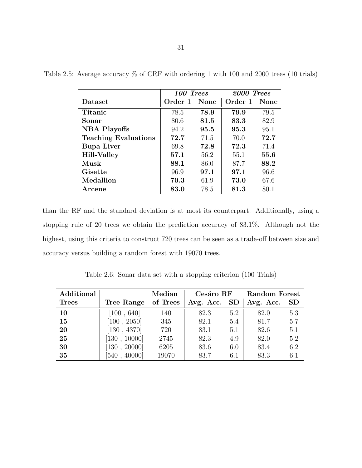|                             | 100 Trees |      | 2000 Trees |      |
|-----------------------------|-----------|------|------------|------|
| <b>Dataset</b>              | Order 1   | None | Order 1    | None |
| Titanic                     | 78.5      | 78.9 | 79.9       | 79.5 |
| Sonar                       | 80.6      | 81.5 | 83.3       | 82.9 |
| <b>NBA Playoffs</b>         | 94.2      | 95.5 | 95.3       | 95.1 |
| <b>Teaching Evaluations</b> | 72.7      | 71.5 | 70.0       | 72.7 |
| <b>Bupa Liver</b>           | 69.8      | 72.8 | 72.3       | 71.4 |
| Hill-Valley                 | 57.1      | 56.2 | 55.1       | 55.6 |
| Musk                        | 88.1      | 86.0 | 87.7       | 88.2 |
| Gisette                     | 96.9      | 97.1 | 97.1       | 96.6 |
| Medallion                   | 70.3      | 61.9 | 73.0       | 67.6 |
| Arcene                      | 83.0      | 78.5 | 81.3       | 80.1 |

<span id="page-41-0"></span>Table 2.5: Average accuracy % of CRF with ordering 1 with 100 and 2000 trees (10 trials)

than the RF and the standard deviation is at most its counterpart. Additionally, using a stopping rule of 20 trees we obtain the prediction accuracy of 83.1%. Although not the highest, using this criteria to construct 720 trees can be seen as a trade-off between size and accuracy versus building a random forest with 19070 trees.

Table 2.6: Sonar data set with a stopping criterion (100 Trials)

| Additional   |                   | Median   | Cesáro RF    |     | <b>Random Forest</b> |           |
|--------------|-------------------|----------|--------------|-----|----------------------|-----------|
| <b>Trees</b> | <b>Tree Range</b> | of Trees | Avg. Acc. SD |     | Avg. Acc.            | <b>SD</b> |
| 10           | [100, 640]        | 140      | 82.3         | 5.2 | 82.0                 | 5.3       |
| 15           | [100, 2050]       | 345      | 82.1         | 5.4 | 81.7                 | 5.7       |
| 20           | [130, 4370]       | 720      | 83.1         | 5.1 | 82.6                 | 5.1       |
| 25           | [130, 10000]      | 2745     | 82.3         | 4.9 | 82.0                 | 5.2       |
| 30           | [130, 20000]      | 6205     | 83.6         | 6.0 | 83.4                 | 6.2       |
| 35           | 40000<br>540      | 19070    | 83.7         | 6.1 | 83.3                 | 6.1       |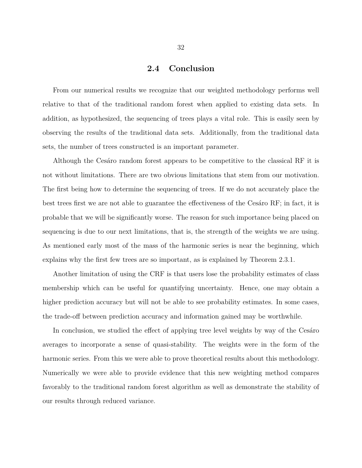# **2.4 Conclusion**

From our numerical results we recognize that our weighted methodology performs well relative to that of the traditional random forest when applied to existing data sets. In addition, as hypothesized, the sequencing of trees plays a vital role. This is easily seen by observing the results of the traditional data sets. Additionally, from the traditional data sets, the number of trees constructed is an important parameter.

Although the Cesáro random forest appears to be competitive to the classical RF it is not without limitations. There are two obvious limitations that stem from our motivation. The first being how to determine the sequencing of trees. If we do not accurately place the best trees first we are not able to guarantee the effectiveness of the Cesáro RF; in fact, it is probable that we will be significantly worse. The reason for such importance being placed on sequencing is due to our next limitations, that is, the strength of the weights we are using. As mentioned early most of the mass of the harmonic series is near the beginning, which explains why the first few trees are so important, as is explained by Theorem 2.3.1.

Another limitation of using the CRF is that users lose the probability estimates of class membership which can be useful for quantifying uncertainty. Hence, one may obtain a higher prediction accuracy but will not be able to see probability estimates. In some cases, the trade-off between prediction accuracy and information gained may be worthwhile.

In conclusion, we studied the effect of applying tree level weights by way of the Cesáro averages to incorporate a sense of quasi-stability. The weights were in the form of the harmonic series. From this we were able to prove theoretical results about this methodology. Numerically we were able to provide evidence that this new weighting method compares favorably to the traditional random forest algorithm as well as demonstrate the stability of our results through reduced variance.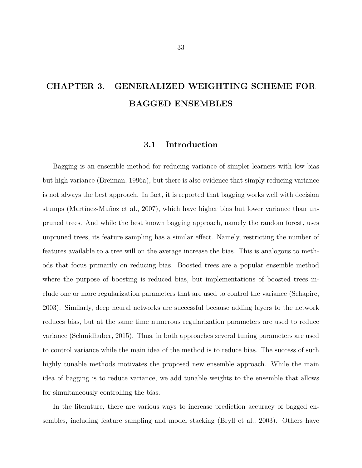# **CHAPTER 3. GENERALIZED WEIGHTING SCHEME FOR BAGGED ENSEMBLES**

## **3.1 Introduction**

Bagging is an ensemble method for reducing variance of simpler learners with low bias but high variance (Breiman, 1996a), but there is also evidence that simply reducing variance is not always the best approach. In fact, it is reported that bagging works well with decision stumps (Martínez-Muñoz et al., 2007), which have higher bias but lower variance than unpruned trees. And while the best known bagging approach, namely the random forest, uses unpruned trees, its feature sampling has a similar effect. Namely, restricting the number of features available to a tree will on the average increase the bias. This is analogous to methods that focus primarily on reducing bias. Boosted trees are a popular ensemble method where the purpose of boosting is reduced bias, but implementations of boosted trees include one or more regularization parameters that are used to control the variance (Schapire, 2003). Similarly, deep neural networks are successful because adding layers to the network reduces bias, but at the same time numerous regularization parameters are used to reduce variance (Schmidhuber, 2015). Thus, in both approaches several tuning parameters are used to control variance while the main idea of the method is to reduce bias. The success of such highly tunable methods motivates the proposed new ensemble approach. While the main idea of bagging is to reduce variance, we add tunable weights to the ensemble that allows for simultaneously controlling the bias.

In the literature, there are various ways to increase prediction accuracy of bagged ensembles, including feature sampling and model stacking (Bryll et al., 2003). Others have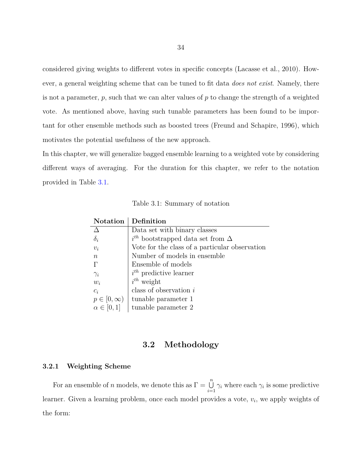considered giving weights to different votes in specific concepts (Lacasse et al., 2010). However, a general weighting scheme that can be tuned to fit data *does not exist*. Namely, there is not a parameter,  $p$ , such that we can alter values of  $p$  to change the strength of a weighted vote. As mentioned above, having such tunable parameters has been found to be important for other ensemble methods such as boosted trees (Freund and Schapire, 1996), which motivates the potential usefulness of the new approach.

In this chapter, we will generalize bagged ensemble learning to a weighted vote by considering different ways of averaging. For the duration for this chapter, we refer to the notation provided in Table 3.1.

Table 3.1: Summary of notation

| <b>Notation</b>    | Definition                                     |
|--------------------|------------------------------------------------|
|                    | Data set with binary classes                   |
| $\delta_i$         | $i^{th}$ bootstrapped data set from $\Delta$   |
| $v_i$              | Vote for the class of a particular observation |
| $\boldsymbol{n}$   | Number of models in ensemble                   |
|                    | Ensemble of models                             |
| $\gamma_i$         | $i^{th}$ predictive learner                    |
| $w_i$              | $i^{th}$ weight                                |
| $c_i$              | class of observation $i$                       |
| $p\in[0,\infty)$   | tunable parameter 1                            |
| $\alpha \in [0,1]$ | tunable parameter 2                            |

# **3.2 Methodology**

#### **3.2.1 Weighting Scheme**

For an ensemble of *n* models, we denote this as  $\Gamma = \bigcup_{n=1}^n$  $\bigcup_{i=1} \gamma_i$  where each  $\gamma_i$  is some predictive learner. Given a learning problem, once each model provides a vote, *v<sup>i</sup>* , we apply weights of the form: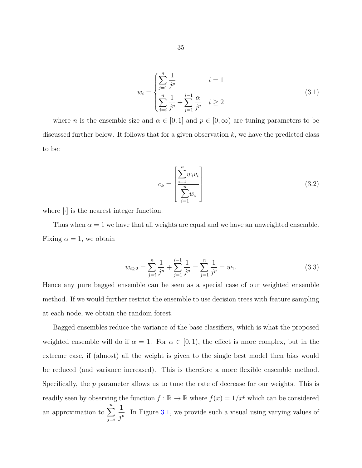$$
w_i = \begin{cases} \sum_{j=1}^n \frac{1}{j^p} & i = 1\\ \sum_{j=i}^n \frac{1}{j^p} + \sum_{j=1}^{i-1} \frac{\alpha}{j^p} & i \ge 2 \end{cases}
$$
(3.1)

where *n* is the ensemble size and  $\alpha \in [0,1]$  and  $p \in [0,\infty)$  are tuning parameters to be discussed further below. It follows that for a given observation *k*, we have the predicted class to be:

$$
c_k = \left[\frac{\sum_{i=1}^n w_i v_i}{\sum_{i=1}^n w_i}\right]
$$
\n(3.2)

where [·] is the nearest integer function.

Thus when  $\alpha = 1$  we have that all weights are equal and we have an unweighted ensemble. Fixing  $\alpha = 1$ , we obtain

$$
w_{i\geq 2} = \sum_{j=i}^{n} \frac{1}{j^p} + \sum_{j=1}^{i-1} \frac{1}{j^p} = \sum_{j=1}^{n} \frac{1}{j^p} = w_1.
$$
 (3.3)

Hence any pure bagged ensemble can be seen as a special case of our weighted ensemble method. If we would further restrict the ensemble to use decision trees with feature sampling at each node, we obtain the random forest.

Bagged ensembles reduce the variance of the base classifiers, which is what the proposed weighted ensemble will do if  $\alpha = 1$ . For  $\alpha \in [0,1)$ , the effect is more complex, but in the extreme case, if (almost) all the weight is given to the single best model then bias would be reduced (and variance increased). This is therefore a more flexible ensemble method. Specifically, the *p* parameter allows us to tune the rate of decrease for our weights. This is readily seen by observing the function  $f : \mathbb{R} \to \mathbb{R}$  where  $f(x) = 1/x^p$  which can be considered an approximation to  $\sum_{n=1}^n$ *j*=*i* 1  $\frac{1}{j^p}$ . In Figure [3.1,](#page-46-0) we provide such a visual using varying values of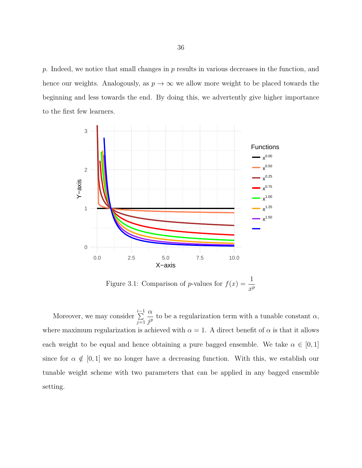<span id="page-46-0"></span>*p*. Indeed, we notice that small changes in *p* results in various decreases in the function, and hence our weights. Analogously, as  $p \to \infty$  we allow more weight to be placed towards the beginning and less towards the end. By doing this, we advertently give higher importance to the first few learners.



Figure 3.1: Comparison of *p*-values for  $f(x) = \frac{1}{x}$ *x p*

Moreover, we may consider  $\sum_{i=1}^{i-1}$ *j*=1 *α*  $\frac{\alpha}{j^p}$  to be a regularization term with a tunable constant *α*, where maximum regularization is achieved with  $\alpha = 1$ . A direct benefit of  $\alpha$  is that it allows each weight to be equal and hence obtaining a pure bagged ensemble. We take  $\alpha \in [0,1]$ since for  $\alpha \notin [0,1]$  we no longer have a decreasing function. With this, we establish our tunable weight scheme with two parameters that can be applied in any bagged ensemble setting.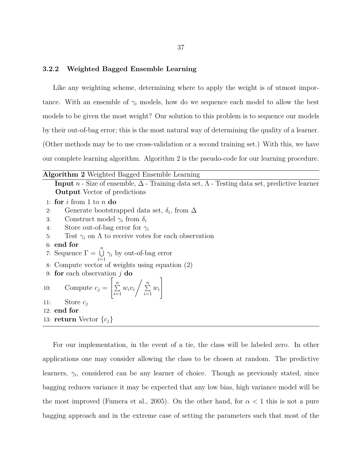## **3.2.2 Weighted Bagged Ensemble Learning**

Like any weighting scheme, determining where to apply the weight is of utmost importance. With an ensemble of  $\gamma_i$  models, how do we sequence each model to allow the best models to be given the most weight? Our solution to this problem is to sequence our models by their out-of-bag error; this is the most natural way of determining the quality of a learner. (Other methods may be to use cross-validation or a second training set.) With this, we have our complete learning algorithm. Algorithm 2 is the pseudo-code for our learning procedure.

|     | Algorithm 2 Weighted Bagged Ensemble Learning                                                                       |
|-----|---------------------------------------------------------------------------------------------------------------------|
|     | <b>Input</b> $n$ - Size of ensemble, $\Delta$ - Training data set, $\Lambda$ - Testing data set, predictive learner |
|     | <b>Output</b> Vector of predictions                                                                                 |
|     | 1: for $i$ from 1 to $n$ do                                                                                         |
| 2:  | Generate bootstrapped data set, $\delta_i$ , from $\Delta$                                                          |
| 3:  | Construct model $\gamma_i$ from $\delta_i$                                                                          |
| 4:  | Store out-of-bag error for $\gamma_i$                                                                               |
| 5:  | Test $\gamma_i$ on $\Lambda$ to receive votes for each observation                                                  |
|     | $6:$ end for                                                                                                        |
|     | 7: Sequence $\Gamma = \bigcup_{i=1}^{n} \gamma_i$ by out-of-bag error                                               |
|     | 8: Compute vector of weights using equation (2)                                                                     |
|     | 9: for each observation $j$ do                                                                                      |
|     | 10: Compute $c_j = \left[\sum_{i=1}^n w_i v_i / \sum_{i=1}^n w_i\right]$                                            |
| 11: | Store $c_i$                                                                                                         |
|     | $12:$ end for                                                                                                       |
|     | 13: <b>return</b> Vector $\{c_i\}$                                                                                  |

For our implementation, in the event of a tie, the class will be labeled zero. In other applications one may consider allowing the class to be chosen at random. The predictive learners,  $\gamma_i$ , considered can be any learner of choice. Though as previously stated, since bagging reduces variance it may be expected that any low bias, high variance model will be the most improved (Fumera et al., 2005). On the other hand, for  $\alpha < 1$  this is not a pure bagging approach and in the extreme case of setting the parameters such that most of the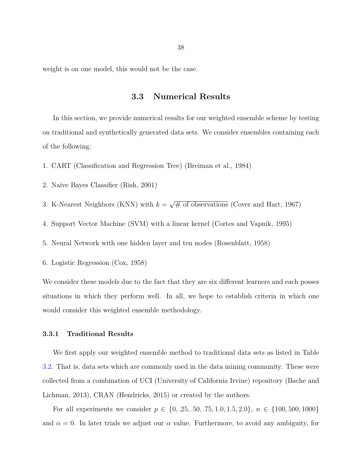weight is on one model, this would not be the case.

## **3.3 Numerical Results**

In this section, we provide numerical results for our weighted ensemble scheme by testing on traditional and synthetically generated data sets. We consider ensembles containing each of the following:

- 1. CART (Classification and Regression Tree) (Breiman et al., 1984)
- 2. Naïve Bayes Classifier (Rish, 2001)
- 3. K-Nearest Neighbors (KNN) with *k* = √ # of observations (Cover and Hart, 1967)
- 4. Support Vector Machine (SVM) with a linear kernel (Cortes and Vapnik, 1995)
- 5. Neural Network with one hidden layer and ten nodes (Rosenblatt, 1958)
- 6. Logistic Regression (Cox, 1958)

We consider these models due to the fact that they are six different learners and each posses situations in which they perform well. In all, we hope to establish criteria in which one would consider this weighted ensemble methodology.

#### **3.3.1 Traditional Results**

We first apply our weighted ensemble method to traditional data sets as listed in Table [3.2.](#page-49-0) That is, data sets which are commonly used in the data mining community. These were collected from a combination of UCI (University of California Irvine) repository (Bache and Lichman, 2013), CRAN (Hendricks, 2015) or created by the authors.

For all experiments we consider  $p \in \{0, .25, .50, .75, 1.0, 1.5, 2.0\}, n \in \{100, 500, 1000\}$ and  $\alpha = 0$ . In later trials we adjust our  $\alpha$  value. Furthermore, to avoid any ambiguity, for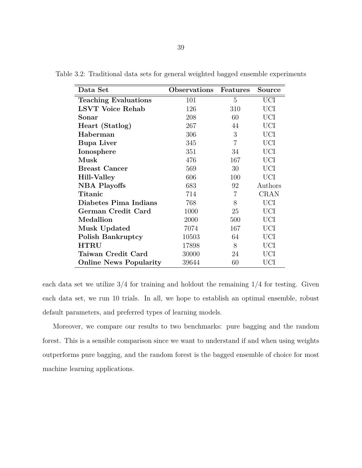| Data Set                      | <b>Observations</b> | Features | <b>Source</b> |
|-------------------------------|---------------------|----------|---------------|
| <b>Teaching Evaluations</b>   | 101                 | 5        | UCI           |
| <b>LSVT Voice Rehab</b>       | 126                 | 310      | <b>UCI</b>    |
| Sonar                         | 208                 | 60       | UCI           |
| Heart (Statlog)               | 267                 | 44       | UCI           |
| Haberman                      | 306                 | 3        | UCI           |
| <b>Bupa Liver</b>             | 345                 | 7        | <b>UCI</b>    |
| Ionosphere                    | 351                 | 34       | <b>UCI</b>    |
| Musk                          | 476                 | 167      | UCI           |
| <b>Breast Cancer</b>          | 569                 | 30       | UCI           |
| <b>Hill-Valley</b>            | 606                 | 100      | UCI           |
| <b>NBA Playoffs</b>           | 683                 | 92       | Authors       |
| Titanic                       | 714                 | 7        | <b>CRAN</b>   |
| Diabetes Pima Indians         | 768                 | 8        | <b>UCI</b>    |
| German Credit Card            | 1000                | 25       | <b>UCI</b>    |
| Medallion                     | 2000                | 500      | UCI           |
| Musk Updated                  | 7074                | 167      | <b>UCI</b>    |
| <b>Polish Bankruptcy</b>      | 10503               | 64       | UCI           |
| <b>HTRU</b>                   | 17898               | 8        | UCI           |
| Taiwan Credit Card            | 30000               | 24       | UCI           |
| <b>Online News Popularity</b> | 39644               | 60       | UCI           |

<span id="page-49-0"></span>Table 3.2: Traditional data sets for general weighted bagged ensemble experiments

each data set we utilize  $3/4$  for training and holdout the remaining  $1/4$  for testing. Given each data set, we run 10 trials. In all, we hope to establish an optimal ensemble, robust default parameters, and preferred types of learning models.

Moreover, we compare our results to two benchmarks: pure bagging and the random forest. This is a sensible comparison since we want to understand if and when using weights outperforms pure bagging, and the random forest is the bagged ensemble of choice for most machine learning applications.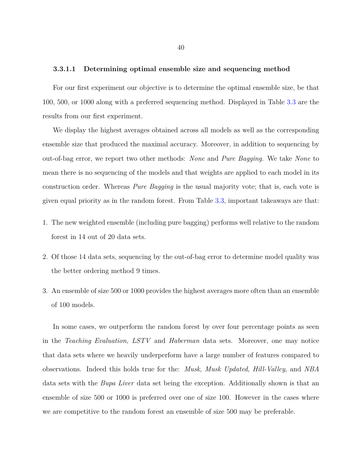#### **3.3.1.1 Determining optimal ensemble size and sequencing method**

For our first experiment our objective is to determine the optimal ensemble size, be that 100, 500, or 1000 along with a preferred sequencing method. Displayed in Table [3.3](#page-51-0) are the results from our first experiment.

We display the highest averages obtained across all models as well as the corresponding ensemble size that produced the maximal accuracy. Moreover, in addition to sequencing by out-of-bag error, we report two other methods: *None* and *Pure Bagging*. We take *None* to mean there is no sequencing of the models and that weights are applied to each model in its construction order. Whereas *Pure Bagging* is the usual majority vote; that is, each vote is given equal priority as in the random forest. From Table [3.3,](#page-51-0) important takeaways are that:

- 1. The new weighted ensemble (including pure bagging) performs well relative to the random forest in 14 out of 20 data sets.
- 2. Of those 14 data sets, sequencing by the out-of-bag error to determine model quality was the better ordering method 9 times.
- 3. An ensemble of size 500 or 1000 provides the highest averages more often than an ensemble of 100 models.

In some cases, we outperform the random forest by over four percentage points as seen in the *Teaching Evaluation*, *LSTV* and *Haberman* data sets. Moreover, one may notice that data sets where we heavily underperform have a large number of features compared to observations. Indeed this holds true for the: *Musk*, *Musk Updated*, *Hill-Valley*, and *NBA* data sets with the *Bupa Liver* data set being the exception. Additionally shown is that an ensemble of size 500 or 1000 is preferred over one of size 100. However in the cases where we are competitive to the random forest an ensemble of size 500 may be preferable.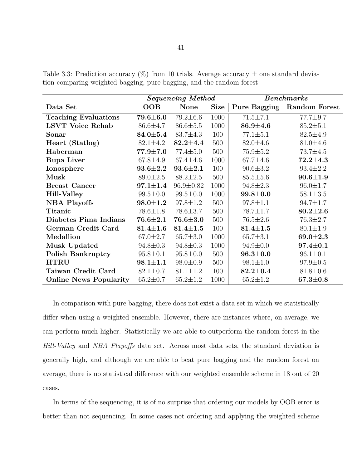|                               | <b>Sequencing Method</b> |                 |             | <b>Benchmarks</b>   |                      |  |
|-------------------------------|--------------------------|-----------------|-------------|---------------------|----------------------|--|
| Data Set                      | <b>OOB</b>               | <b>None</b>     | <b>Size</b> | <b>Pure Bagging</b> | <b>Random Forest</b> |  |
| <b>Teaching Evaluations</b>   | $79.6 \!\pm\! 6.0$       | $79.2 \pm 6.6$  | 1000        | $71.5 \pm 7.1$      | $77.7 \pm 9.7$       |  |
| <b>LSVT</b> Voice Rehab       | $86.6 \pm 4.7$           | $86.6 \pm 5.5$  | 1000        | $86.9 \pm 4.6$      | $85.2 \pm 5.1$       |  |
| Sonar                         | $84.0 \pm 5.4$           | $83.7 \pm 4.3$  | 100         | $77.1 \pm 5.1$      | $82.5 \pm 4.9$       |  |
| Heart (Statlog)               | $82.1 \pm 4.2$           | $82.2 \pm 4.4$  | 500         | $82.0 \pm 4.6$      | $81.0 \pm 4.6$       |  |
| Haberman                      | $77.9 \!\pm\! 7.0$       | $77.4 \pm 5.0$  | 500         | $75.9 \pm 5.2$      | $73.7 \pm 4.5$       |  |
| <b>Bupa Liver</b>             | $67.8 \pm 4.9$           | $67.4 \pm 4.6$  | 1000        | $67.7 \pm 4.6$      | $72.2 \pm 4.3$       |  |
| Ionosphere                    | $93.6 \pm 2.2$           | $93.6 \pm 2.1$  | 100         | $90.6 \pm 3.2$      | $93.4 \pm 2.2$       |  |
| Musk                          | $89.0 \pm 2.5$           | $88.2 \pm 2.5$  | 500         | $85.5 \pm 5.6$      | $90.6 + 1.9$         |  |
| <b>Breast Cancer</b>          | $97.1 \pm 1.4$           | $96.9 \pm 0.82$ | 1000        | $94.8 \pm 2.3$      | $96.0 \pm 1.7$       |  |
| <b>Hill-Valley</b>            | $99.5 \pm 0.0$           | $99.5 \pm 0.0$  | 1000        | $99.8 \pm 0.0$      | $58.1 \pm 3.5$       |  |
| <b>NBA Playoffs</b>           | $98.0 \pm 1.2$           | $97.8 \pm 1.2$  | 500         | $97.8 \pm 1.1$      | $94.7 \pm 1.7$       |  |
| <b>Titanic</b>                | $78.6 \pm 1.8$           | $78.6 \pm 3.7$  | 500         | $78.7 \pm 1.7$      | $80.2 \pm 2.6$       |  |
| Diabetes Pima Indians         | $76.6{\pm}2.1$           | $76.6 \pm 3.0$  | 500         | $76.5 \pm 2.6$      | $76.3 \pm 2.7$       |  |
| German Credit Card            | $81.4 \pm 1.6$           | $81.4 \pm 1.5$  | 100         | $81.4 \pm 1.5$      | $80.1 \pm 1.9$       |  |
| Medallion                     | $67.0 \pm 2.7$           | $65.7 \pm 3.0$  | 1000        | $65.7 \pm 3.1$      | $69.0 \pm 2.3$       |  |
| Musk Updated                  | $94.8 \pm 0.3$           | $94.8 \pm 0.3$  | 1000        | $94.9 \pm 0.0$      | $97.4 \pm 0.1$       |  |
| <b>Polish Bankruptcy</b>      | $95.8 \pm 0.1$           | $95.8 \pm 0.0$  | 500         | $96.3 \pm 0.0$      | $96.1 \pm 0.1$       |  |
| <b>HTRU</b>                   | $98.1 \pm 1.1$           | $98.0 \pm 0.9$  | 500         | $98.1 \pm 1.0$      | $97.9 \pm 0.5$       |  |
| Taiwan Credit Card            | $82.1 \pm 0.7$           | $81.1 \pm 1.2$  | 100         | $82.2 \pm 0.4$      | $81.8 \pm 0.6$       |  |
| <b>Online News Popularity</b> | $65.2 \pm 0.7$           | $65.2 \pm 1.2$  | 1000        | $65.2 \pm 1.2$      | $67.3 \pm 0.8$       |  |

<span id="page-51-0"></span>Table 3.3: Prediction accuracy  $(\%)$  from 10 trials. Average accuracy  $\pm$  one standard deviation comparing weighted bagging, pure bagging, and the random forest

In comparison with pure bagging, there does not exist a data set in which we statistically differ when using a weighted ensemble. However, there are instances where, on average, we can perform much higher. Statistically we are able to outperform the random forest in the *Hill-Valley* and *NBA Playoffs* data set. Across most data sets, the standard deviation is generally high, and although we are able to beat pure bagging and the random forest on average, there is no statistical difference with our weighted ensemble scheme in 18 out of 20 cases.

In terms of the sequencing, it is of no surprise that ordering our models by OOB error is better than not sequencing. In some cases not ordering and applying the weighted scheme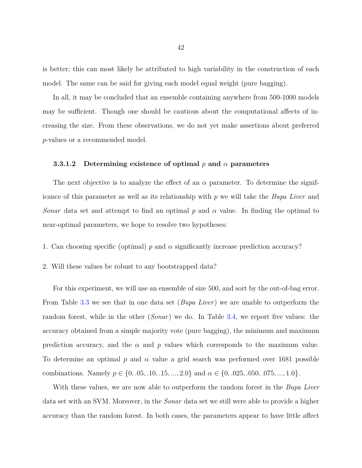is better; this can most likely be attributed to high variability in the construction of each model. The same can be said for giving each model equal weight (pure bagging).

In all, it may be concluded that an ensemble containing anywhere from 500-1000 models may be sufficient. Though one should be cautious about the computational affects of increasing the size. From these observations, we do not yet make assertions about preferred *p*-values or a recommended model.

### **3.3.1.2 Determining existence of optimal** *p* **and** *α* **parameters**

The next objective is to analyze the effect of an  $\alpha$  parameter. To determine the significance of this parameter as well as its relationship with *p* we will take the *Bupa Liver* and *Sonar* data set and attempt to find an optimal *p* and *α* value. In finding the optimal to near-optimal parameters, we hope to resolve two hypotheses:

- 1. Can choosing specific (optimal) *p* and *α* significantly increase prediction accuracy?
- 2. Will these values be robust to any bootstrapped data?

For this experiment, we will use an ensemble of size 500, and sort by the out-of-bag error. From Table [3.3](#page-51-0) we see that in one data set (*Bupa Liver*) we are unable to outperform the random forest, while in the other (*Sonar*) we do. In Table [3.4,](#page-54-0) we report five values: the accuracy obtained from a simple majority vote (pure bagging), the minimum and maximum prediction accuracy, and the  $\alpha$  and  $p$  values which corresponds to the maximum value. To determine an optimal *p* and *α* value a grid search was performed over 1681 possible combinations. Namely  $p \in \{0, .05, .10, .15, ..., 2.0\}$  and  $\alpha \in \{0, .025, .050, .075, ..., 1.0\}$ .

With these values, we are now able to outperform the random forest in the *Bupa Liver* data set with an SVM. Moreover, in the *Sonar* data set we still were able to provide a higher accuracy than the random forest. In both cases, the parameters appear to have little affect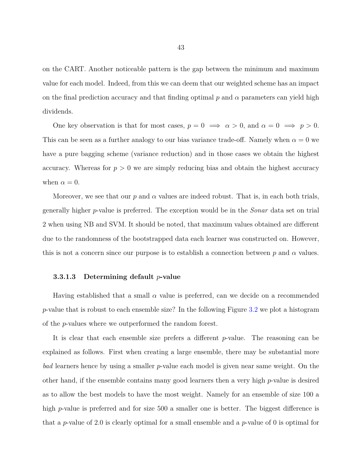on the CART. Another noticeable pattern is the gap between the minimum and maximum value for each model. Indeed, from this we can deem that our weighted scheme has an impact on the final prediction accuracy and that finding optimal *p* and *α* parameters can yield high dividends.

One key observation is that for most cases,  $p = 0 \implies \alpha > 0$ , and  $\alpha = 0 \implies p > 0$ . This can be seen as a further analogy to our bias variance trade-off. Namely when  $\alpha = 0$  we have a pure bagging scheme (variance reduction) and in those cases we obtain the highest accuracy. Whereas for  $p > 0$  we are simply reducing bias and obtain the highest accuracy when  $\alpha = 0$ .

Moreover, we see that our *p* and  $\alpha$  values are indeed robust. That is, in each both trials, generally higher *p*-value is preferred. The exception would be in the *Sonar* data set on trial 2 when using NB and SVM. It should be noted, that maximum values obtained are different due to the randomness of the bootstrapped data each learner was constructed on. However, this is not a concern since our purpose is to establish a connection between  $p$  and  $\alpha$  values.

#### **3.3.1.3 Determining default** *p***-value**

Having established that a small *α* value is preferred, can we decide on a recommended *p*-value that is robust to each ensemble size? In the following Figure [3.2](#page-55-0) we plot a histogram of the *p*-values where we outperformed the random forest.

It is clear that each ensemble size prefers a different *p*-value. The reasoning can be explained as follows. First when creating a large ensemble, there may be substantial more *bad* learners hence by using a smaller *p*-value each model is given near same weight. On the other hand, if the ensemble contains many good learners then a very high *p*-value is desired as to allow the best models to have the most weight. Namely for an ensemble of size 100 a high *p*-value is preferred and for size 500 a smaller one is better. The biggest difference is that a *p*-value of 2.0 is clearly optimal for a small ensemble and a *p*-value of 0 is optimal for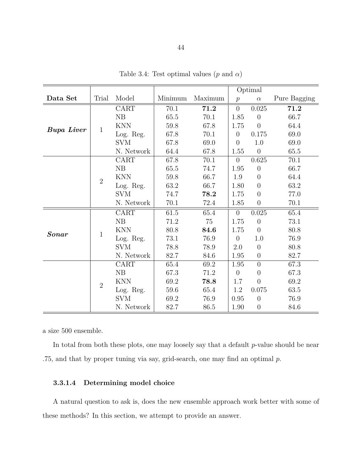<span id="page-54-0"></span>

|            |                |                          |         |         |                | Optimal        |              |
|------------|----------------|--------------------------|---------|---------|----------------|----------------|--------------|
| Data Set   | Trial          | Model                    | Minimum | Maximum | $\overline{p}$ | $\alpha$       | Pure Bagging |
|            |                | CART                     | 70.1    | 71.2    | $\overline{0}$ | 0.025          | 71.2         |
| Bupa Liver |                | NB                       | 65.5    | 70.1    | 1.85           | $\overline{0}$ | 66.7         |
|            | $\mathbf{1}$   | <b>KNN</b>               | 59.8    | 67.8    | 1.75           | $\overline{0}$ | 64.4         |
|            |                | Log. Reg.                | 67.8    | 70.1    | $\theta$       | 0.175          | 69.0         |
|            |                | <b>SVM</b>               | 67.8    | 69.0    | $\overline{0}$ | 1.0            | 69.0         |
|            |                | N. Network               | 64.4    | 67.8    | 1.55           | $\overline{0}$ | 65.5         |
|            |                | CART                     | 67.8    | 70.1    | $\overline{0}$ | 0.625          | 70.1         |
|            |                | NB                       | 65.5    | 74.7    | 1.95           | $\theta$       | 66.7         |
|            | $\overline{2}$ | <b>KNN</b>               | 59.8    | 66.7    | 1.9            | $\overline{0}$ | 64.4         |
|            |                | Log. Reg.                | 63.2    | 66.7    | 1.80           | $\overline{0}$ | 63.2         |
|            |                | <b>SVM</b>               | 74.7    | 78.2    | 1.75           | $\overline{0}$ | 77.0         |
|            |                | N. Network               | 70.1    | 72.4    | 1.85           | $\theta$       | 70.1         |
|            |                | $\overline{\text{CART}}$ | 61.5    | 65.4    | $\overline{0}$ | 0.025          | 65.4         |
|            |                | NB                       | 71.2    | $75\,$  | 1.75           | $\overline{0}$ | 73.1         |
| Sonar      | $\mathbf{1}$   | <b>KNN</b>               | 80.8    | 84.6    | 1.75           | $\theta$       | 80.8         |
|            |                | Log. Reg.                | 73.1    | 76.9    | $\theta$       | 1.0            | 76.9         |
|            |                | <b>SVM</b>               | 78.8    | 78.9    | 2.0            | $\overline{0}$ | 80.8         |
|            |                | N. Network               | 82.7    | 84.6    | 1.95           | $\theta$       | 82.7         |
|            |                | CART                     | 65.4    | 69.2    | 1.95           | $\overline{0}$ | 67.3         |
|            |                | NB                       | 67.3    | 71.2    | $\overline{0}$ | $\overline{0}$ | 67.3         |
|            | $\overline{2}$ | <b>KNN</b>               | 69.2    | 78.8    | 1.7            | $\overline{0}$ | 69.2         |
|            |                | Log. Reg.                | 59.6    | 65.4    | 1.2            | 0.075          | 63.5         |
|            |                | <b>SVM</b>               | 69.2    | 76.9    | 0.95           | $\theta$       | 76.9         |
|            |                | N. Network               | 82.7    | 86.5    | 1.90           | $\overline{0}$ | 84.6         |

Table 3.4: Test optimal values  $(p \text{ and } \alpha)$ 

a size 500 ensemble.

In total from both these plots, one may loosely say that a default *p*-value should be near .75, and that by proper tuning via say, grid-search, one may find an optimal *p*.

## **3.3.1.4 Determining model choice**

A natural question to ask is, does the new ensemble approach work better with some of these methods? In this section, we attempt to provide an answer.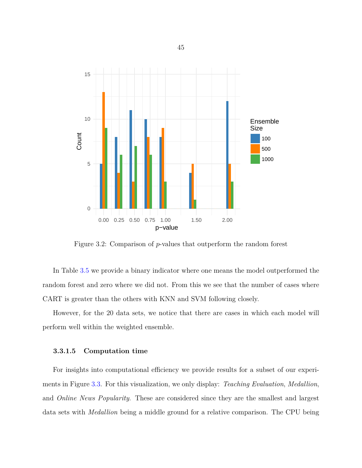<span id="page-55-0"></span>

Figure 3.2: Comparison of *p*-values that outperform the random forest

In Table [3.5](#page-56-0) we provide a binary indicator where one means the model outperformed the random forest and zero where we did not. From this we see that the number of cases where CART is greater than the others with KNN and SVM following closely.

However, for the 20 data sets, we notice that there are cases in which each model will perform well within the weighted ensemble.

#### **3.3.1.5 Computation time**

For insights into computational efficiency we provide results for a subset of our experiments in Figure [3.3.](#page-57-0) For this visualization, we only display: *Teaching Evaluation*, *Medallion*, and *Online News Popularity*. These are considered since they are the smallest and largest data sets with *Medallion* being a middle ground for a relative comparison. The CPU being

45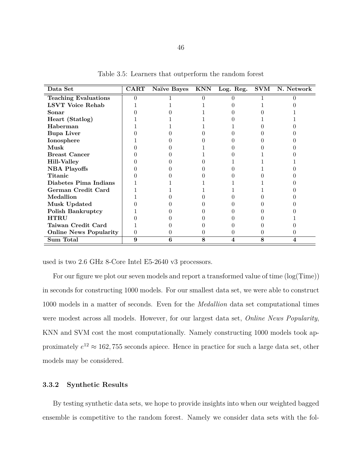<span id="page-56-0"></span>

| Data Set                      | $_{\rm CART}$ | Naïve Bayes | <b>KNN</b> | Log. Reg. | $\mathbf{SVM}$ | N. Network |
|-------------------------------|---------------|-------------|------------|-----------|----------------|------------|
| <b>Teaching Evaluations</b>   |               |             |            |           |                |            |
| <b>LSVT Voice Rehab</b>       |               |             |            |           |                |            |
| Sonar                         |               |             |            |           |                |            |
| Heart (Statlog)               |               |             |            |           |                |            |
| Haberman                      |               |             |            |           |                |            |
| <b>Bupa Liver</b>             |               |             |            |           |                |            |
| Ionosphere                    |               |             |            |           |                |            |
| ${\bf Musk}$                  |               |             |            |           |                |            |
| <b>Breast Cancer</b>          |               |             |            |           |                |            |
| <b>Hill-Valley</b>            |               |             |            |           |                |            |
| <b>NBA Playoffs</b>           |               |             |            |           |                |            |
| Titanic                       |               |             |            |           |                |            |
| Diabetes Pima Indians         |               |             |            |           |                |            |
| German Credit Card            |               |             |            |           |                |            |
| Medallion                     |               |             |            |           |                |            |
| Musk Updated                  |               |             |            |           |                |            |
| <b>Polish Bankruptcy</b>      |               |             |            |           |                |            |
| <b>HTRU</b>                   |               |             |            |           |                |            |
| Taiwan Credit Card            |               |             |            |           |                |            |
| <b>Online News Popularity</b> |               |             |            |           |                |            |
| <b>Sum Total</b>              | 9             | 6           | 8          | 4         | 8              | 4          |

Table 3.5: Learners that outperform the random forest

used is two 2.6 GHz 8-Core Intel E5-2640 v3 processors.

For our figure we plot our seven models and report a transformed value of time (log(Time)) in seconds for constructing 1000 models. For our smallest data set, we were able to construct 1000 models in a matter of seconds. Even for the *Medallion* data set computational times were modest across all models. However, for our largest data set, *Online News Popularity*, KNN and SVM cost the most computationally. Namely constructing 1000 models took approximately  $e^{12} \approx 162,755$  seconds apiece. Hence in practice for such a large data set, other models may be considered.

## **3.3.2 Synthetic Results**

By testing synthetic data sets, we hope to provide insights into when our weighted bagged ensemble is competitive to the random forest. Namely we consider data sets with the fol-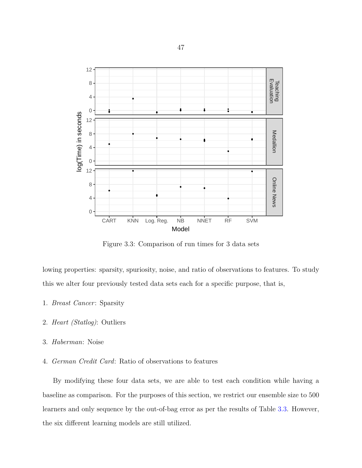<span id="page-57-0"></span>

Figure 3.3: Comparison of run times for 3 data sets

lowing properties: sparsity, spuriosity, noise, and ratio of observations to features. To study this we alter four previously tested data sets each for a specific purpose, that is,

- 1. *Breast Cancer*: Sparsity
- 2. *Heart (Statlog)*: Outliers
- 3. *Haberman*: Noise
- 4. *German Credit Card*: Ratio of observations to features

By modifying these four data sets, we are able to test each condition while having a baseline as comparison. For the purposes of this section, we restrict our ensemble size to 500 learners and only sequence by the out-of-bag error as per the results of Table [3.3.](#page-51-0) However, the six different learning models are still utilized.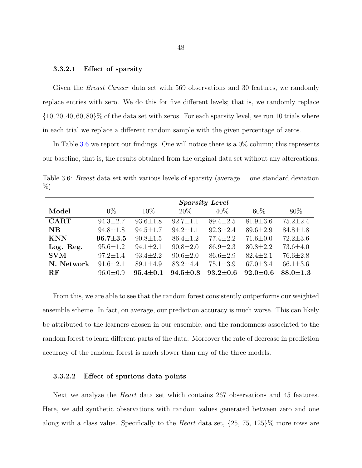#### **3.3.2.1 Effect of sparsity**

Given the *Breast Cancer* data set with 569 observations and 30 features, we randomly replace entries with zero. We do this for five different levels; that is, we randomly replace {10*,* 20*,* 40*,* 60*,* 80}% of the data set with zeros. For each sparsity level, we run 10 trials where in each trial we replace a different random sample with the given percentage of zeros.

In Table 3.6 we report our findings. One will notice there is a 0% column; this represents our baseline, that is, the results obtained from the original data set without any altercations. Table 3.6: *Breast* data set with various levels of sparsity (average ± one standard deviation %)

|             | <b>Sparsity Level</b> |                |                |                |                |                |
|-------------|-----------------------|----------------|----------------|----------------|----------------|----------------|
| Model       | $0\%$                 | $10\%$         | $20\%$         | $40\%$         | $60\%$         | 80\%           |
| <b>CART</b> | $94.3 \pm 2.7$        | $93.6 \pm 1.8$ | $92.7 \pm 1.1$ | $89.4 \pm 2.5$ | $81.9 \pm 3.6$ | $75.2 \pm 2.4$ |
| NB          | $94.8 \pm 1.8$        | $94.5 \pm 1.7$ | $94.2 \pm 1.1$ | $92.3 \pm 2.4$ | $89.6 \pm 2.9$ | $84.8 \pm 1.8$ |
| <b>KNN</b>  | $96.7 \pm 3.5$        | $90.8 \pm 1.5$ | $86.4 \pm 1.2$ | $77.4 \pm 2.2$ | $71.6 \pm 0.0$ | $72.2 \pm 3.6$ |
| Log. Reg.   | $95.6 \pm 1.2$        | $94.1 \pm 2.1$ | $90.8 \pm 2.0$ | $86.9 \pm 2.3$ | $80.8 \pm 2.2$ | $73.6{\pm}4.0$ |
| <b>SVM</b>  | $97.2 \pm 1.4$        | $93.4 \pm 2.2$ | $90.6 \pm 2.0$ | $86.6 \pm 2.9$ | $82.4 \pm 2.1$ | $76.6 \pm 2.8$ |
| N. Network  | $91.6 \pm 2.1$        | $89.1 \pm 4.9$ | $83.2 \pm 4.4$ | $75.1 \pm 3.9$ | $67.0 \pm 3.4$ | $66.1 \pm 3.6$ |
| RF          | $96.0 \pm 0.9$        | $95.4 \pm 0.1$ | $94.5 \pm 0.8$ | $93.2 \pm 0.6$ | $92.0 \pm 0.6$ | $88.0 \pm 1.3$ |

From this, we are able to see that the random forest consistently outperforms our weighted ensemble scheme. In fact, on average, our prediction accuracy is much worse. This can likely be attributed to the learners chosen in our ensemble, and the randomness associated to the random forest to learn different parts of the data. Moreover the rate of decrease in prediction accuracy of the random forest is much slower than any of the three models.

#### **3.3.2.2 Effect of spurious data points**

Next we analyze the *Heart* data set which contains 267 observations and 45 features. Here, we add synthetic observations with random values generated between zero and one along with a class value. Specifically to the *Heart* data set, {25, 75, 125}% more rows are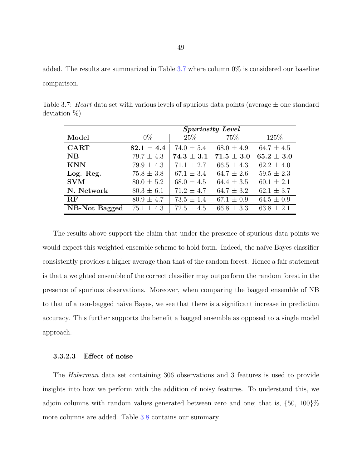added. The results are summarized in Table 3.7 where column  $0\%$  is considered our baseline comparison.

|               | <b>Spuriosity Level</b> |                |                |                |  |
|---------------|-------------------------|----------------|----------------|----------------|--|
| Model         | $0\%$                   | $25\%$         | 75\%           | 125\%          |  |
| <b>CART</b>   | $82.1 \pm 4.4$          | $74.0 \pm 5.4$ | $68.0 \pm 4.9$ | $64.7 \pm 4.5$ |  |
| NB            | $79.7 \pm 4.3$          | $74.3 \pm 3.1$ | $71.5 \pm 3.0$ | $65.2 \pm 3.0$ |  |
| <b>KNN</b>    | $79.9 \pm 4.3$          | $71.1 \pm 2.7$ | $66.5 \pm 4.3$ | $62.2 \pm 4.0$ |  |
| Log. Reg.     | $75.8 \pm 3.8$          | $67.1 \pm 3.4$ | $64.7 \pm 2.6$ | $59.5 \pm 2.3$ |  |
| <b>SVM</b>    | $80.0 \pm 5.2$          | $68.0 \pm 4.5$ | $64.4 \pm 3.5$ | $60.1 \pm 2.1$ |  |
| N. Network    | $80.3 \pm 6.1$          | $71.2 \pm 4.7$ | $64.7 \pm 3.2$ | $62.1 \pm 3.7$ |  |
| $R$ $F$       | $80.9 \pm 4.7$          | $73.5 \pm 1.4$ | $67.1 \pm 0.9$ | $64.5 \pm 0.9$ |  |
| NB-Not Bagged | $75.1 \pm 4.3$          | $72.5 \pm 4.5$ | $66.8 \pm 3.3$ | $63.8 \pm 2.1$ |  |

Table 3.7: *Heart* data set with various levels of spurious data points (average ± one standard deviation %)

The results above support the claim that under the presence of spurious data points we would expect this weighted ensemble scheme to hold form. Indeed, the naïve Bayes classifier consistently provides a higher average than that of the random forest. Hence a fair statement is that a weighted ensemble of the correct classifier may outperform the random forest in the presence of spurious observations. Moreover, when comparing the bagged ensemble of NB to that of a non-bagged naïve Bayes, we see that there is a significant increase in prediction accuracy. This further supports the benefit a bagged ensemble as opposed to a single model approach.

#### **3.3.2.3 Effect of noise**

The *Haberman* data set containing 306 observations and 3 features is used to provide insights into how we perform with the addition of noisy features. To understand this, we adjoin columns with random values generated between zero and one; that is,  $\{50, 100\}\%$ more columns are added. Table [3.8](#page-60-0) contains our summary.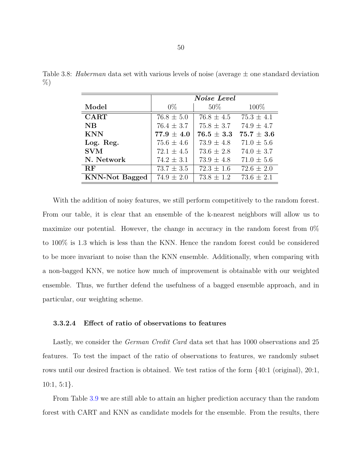|                       | Noise Level    |                |                |  |  |
|-----------------------|----------------|----------------|----------------|--|--|
| Model                 | $0\%$          | $50\%$         | 100\%          |  |  |
| <b>CART</b>           | $76.8 \pm 5.0$ | $76.8 \pm 4.5$ | $75.3 \pm 4.1$ |  |  |
| NB                    | $76.4 \pm 3.7$ | $75.8 \pm 3.7$ | $74.9 \pm 4.7$ |  |  |
| <b>KNN</b>            | $77.9 \pm 4.0$ | $76.5 \pm 3.3$ | $75.7 \pm 3.6$ |  |  |
| Log. Reg.             | $75.6 \pm 4.6$ | $73.9 \pm 4.8$ | $71.0 \pm 5.6$ |  |  |
| <b>SVM</b>            | $72.1 \pm 4.5$ | $73.6 \pm 2.8$ | $74.0 \pm 3.7$ |  |  |
| N. Network            | $74.2 \pm 3.1$ | $73.9 \pm 4.8$ | $71.0 \pm 5.6$ |  |  |
| RF                    | $73.7 \pm 3.5$ | $72.3 \pm 1.6$ | $72.6 \pm 2.0$ |  |  |
| <b>KNN-Not Bagged</b> | $74.9 \pm 2.0$ | $73.8 \pm 1.2$ | $73.6 \pm 2.1$ |  |  |

<span id="page-60-0"></span>Table 3.8: *Haberman* data set with various levels of noise (average  $\pm$  one standard deviation %)

With the addition of noisy features, we still perform competitively to the random forest. From our table, it is clear that an ensemble of the k-nearest neighbors will allow us to maximize our potential. However, the change in accuracy in the random forest from 0% to 100% is 1.3 which is less than the KNN. Hence the random forest could be considered to be more invariant to noise than the KNN ensemble. Additionally, when comparing with a non-bagged KNN, we notice how much of improvement is obtainable with our weighted ensemble. Thus, we further defend the usefulness of a bagged ensemble approach, and in particular, our weighting scheme.

## **3.3.2.4 Effect of ratio of observations to features**

Lastly, we consider the *German Credit Card* data set that has 1000 observations and 25 features. To test the impact of the ratio of observations to features, we randomly subset rows until our desired fraction is obtained. We test ratios of the form {40:1 (original), 20:1,  $10:1, 5:1$ .

From Table [3.9](#page-61-0) we are still able to attain an higher prediction accuracy than the random forest with CART and KNN as candidate models for the ensemble. From the results, there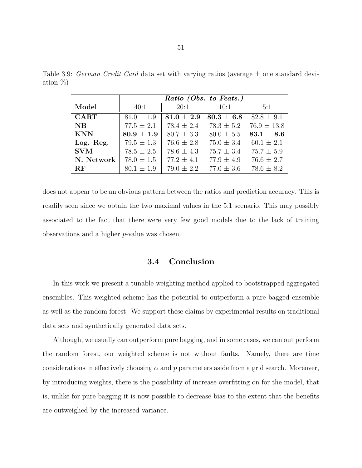|             | Ratio (Obs. to Feats.) |                |                |                 |  |
|-------------|------------------------|----------------|----------------|-----------------|--|
| Model       | 40:1                   | 20:1           | 10:1           | 5:1             |  |
| <b>CART</b> | $81.0 \pm 1.9$         | $81.0 \pm 2.9$ | $80.3 \pm 6.8$ | $82.8 \pm 9.1$  |  |
| NB          | $77.5 \pm 2.1$         | $78.4 \pm 2.4$ | $78.3 \pm 5.2$ | $76.9 \pm 13.8$ |  |
| <b>KNN</b>  | $80.9 \pm 1.9$         | $80.7 \pm 3.3$ | $80.0 \pm 5.5$ | $83.1 \pm 8.6$  |  |
| Log. Reg.   | $79.5 \pm 1.3$         | $76.6 \pm 2.8$ | $75.0 \pm 3.4$ | $60.1 \pm 2.1$  |  |
| <b>SVM</b>  | $78.5 \pm 2.5$         | $78.6 \pm 4.3$ | $75.7 \pm 3.4$ | $75.7 \pm 5.9$  |  |
| N. Network  | $78.0 \pm 1.5$         | $77.2 \pm 4.1$ | $77.9 \pm 4.9$ | $76.6 \pm 2.7$  |  |
| $\bf{RF}$   | $80.1 \pm 1.9$         | $79.0 \pm 2.2$ | $77.0 \pm 3.6$ | $78.6 \pm 8.2$  |  |

<span id="page-61-0"></span>Table 3.9: *German Credit Card* data set with varying ratios (average ± one standard deviation %)

does not appear to be an obvious pattern between the ratios and prediction accuracy. This is readily seen since we obtain the two maximal values in the 5:1 scenario. This may possibly associated to the fact that there were very few good models due to the lack of training observations and a higher *p*-value was chosen.

## **3.4 Conclusion**

In this work we present a tunable weighting method applied to bootstrapped aggregated ensembles. This weighted scheme has the potential to outperform a pure bagged ensemble as well as the random forest. We support these claims by experimental results on traditional data sets and synthetically generated data sets.

Although, we usually can outperform pure bagging, and in some cases, we can out perform the random forest, our weighted scheme is not without faults. Namely, there are time considerations in effectively choosing  $\alpha$  and  $p$  parameters aside from a grid search. Moreover, by introducing weights, there is the possibility of increase overfitting on for the model, that is, unlike for pure bagging it is now possible to decrease bias to the extent that the benefits are outweighed by the increased variance.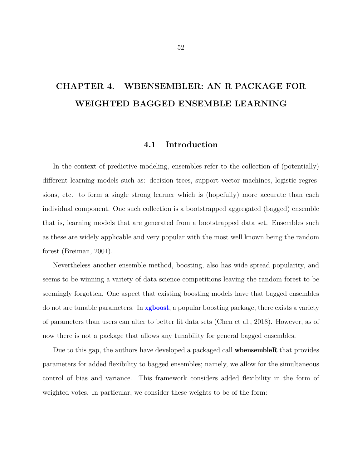# **CHAPTER 4. WBENSEMBLER: AN R PACKAGE FOR WEIGHTED BAGGED ENSEMBLE LEARNING**

## **4.1 Introduction**

In the context of predictive modeling, ensembles refer to the collection of (potentially) different learning models such as: decision trees, support vector machines, logistic regressions, etc. to form a single strong learner which is (hopefully) more accurate than each individual component. One such collection is a bootstrapped aggregated (bagged) ensemble that is, learning models that are generated from a bootstrapped data set. Ensembles such as these are widely applicable and very popular with the most well known being the random forest (Breiman, 2001).

Nevertheless another ensemble method, boosting, also has wide spread popularity, and seems to be winning a variety of data science competitions leaving the random forest to be seemingly forgotten. One aspect that existing boosting models have that bagged ensembles do not are tunable parameters. In **[xgboost](https://CRAN.R-project.org/package=xgboost)**, a popular boosting package, there exists a variety of parameters than users can alter to better fit data sets (Chen et al., 2018). However, as of now there is not a package that allows any tunability for general bagged ensembles.

Due to this gap, the authors have developed a packaged call **wbensembleR** that provides parameters for added flexibility to bagged ensembles; namely, we allow for the simultaneous control of bias and variance. This framework considers added flexibility in the form of weighted votes. In particular, we consider these weights to be of the form: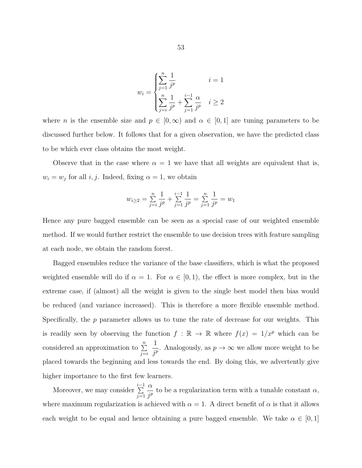$$
w_i = \begin{cases} \sum_{j=1}^n \frac{1}{j^p} & i = 1\\ \sum_{j=i}^n \frac{1}{j^p} + \sum_{j=1}^{i-1} \frac{\alpha}{j^p} & i \ge 2 \end{cases}
$$

where *n* is the ensemble size and  $p \in [0,\infty)$  and  $\alpha \in [0,1]$  are tuning parameters to be discussed further below. It follows that for a given observation, we have the predicted class to be which ever class obtains the most weight.

Observe that in the case where  $\alpha = 1$  we have that all weights are equivalent that is,  $w_i = w_j$  for all *i, j*. Indeed, fixing  $\alpha = 1$ , we obtain

$$
w_{i \geq 2} = \sum_{j=i}^{n} \frac{1}{j^p} + \sum_{j=1}^{i-1} \frac{1}{j^p} = \sum_{j=1}^{n} \frac{1}{j^p} = w_1
$$

Hence any pure bagged ensemble can be seen as a special case of our weighted ensemble method. If we would further restrict the ensemble to use decision trees with feature sampling at each node, we obtain the random forest.

Bagged ensembles reduce the variance of the base classifiers, which is what the proposed weighted ensemble will do if  $\alpha = 1$ . For  $\alpha \in [0,1)$ , the effect is more complex, but in the extreme case, if (almost) all the weight is given to the single best model then bias would be reduced (and variance increased). This is therefore a more flexible ensemble method. Specifically, the *p* parameter allows us to tune the rate of decrease for our weights. This is readily seen by observing the function  $f : \mathbb{R} \to \mathbb{R}$  where  $f(x) = 1/x^p$  which can be considered an approximation to  $\sum_{n=1}^{\infty}$ *j*=*i* 1  $\frac{1}{j^p}$ . Analogously, as  $p \to \infty$  we allow more weight to be placed towards the beginning and less towards the end. By doing this, we advertently give higher importance to the first few learners.

Moreover, we may consider  $\sum_{i=1}^{i-1}$ *j*=1 *α*  $\frac{\alpha}{j^p}$  to be a regularization term with a tunable constant *α*, where maximum regularization is achieved with  $\alpha = 1$ . A direct benefit of  $\alpha$  is that it allows each weight to be equal and hence obtaining a pure bagged ensemble. We take  $\alpha \in [0,1]$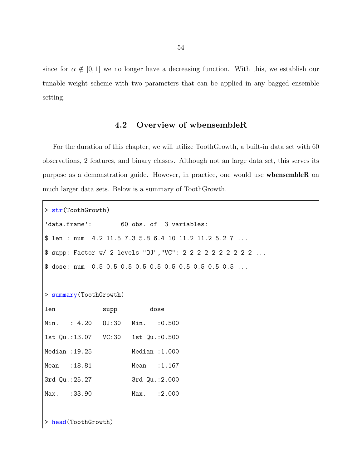since for  $\alpha \notin [0,1]$  we no longer have a decreasing function. With this, we establish our tunable weight scheme with two parameters that can be applied in any bagged ensemble setting.

# **4.2 Overview of wbensembleR**

For the duration of this chapter, we will utilize ToothGrowth, a built-in data set with 60 observations, 2 features, and binary classes. Although not an large data set, this serves its purpose as a demonstration guide. However, in practice, one would use wbensembleR on much larger data sets. Below is a summary of ToothGrowth.

```
> str(ToothGrowth)
'data.frame': 60 obs. of 3 variables:
$ len : num 4.2 11.5 7.3 5.8 6.4 10 11.2 11.2 5.2 7 ...
$ supp: Factor w/ 2 levels "OJ","VC": 2 2 2 2 2 2 2 2 2 2 ...
$ dose: num 0.5 0.5 0.5 0.5 0.5 0.5 0.5 0.5 0.5 0.5 ...
> summary(ToothGrowth)
len supp dose
Min. : 4.20 OJ:30 Min. :0.500
1st Qu.:13.07 VC:30 1st Qu.:0.500
Median :19.25 Median :1.000
Mean : 18.81 Mean : 1.167
3rd Qu.:25.27 3rd Qu.:2.000
Max. :33.90 Max. :2.000
> head(ToothGrowth)
```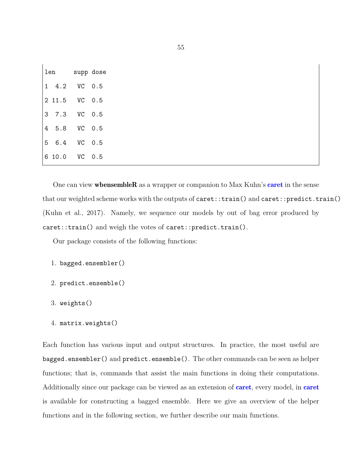| len                                   |          | supp dose |
|---------------------------------------|----------|-----------|
| $\begin{vmatrix} 1 & 4 \end{vmatrix}$ | $VC$ 0.5 |           |
| $ 2\;11.5\;$ VC 0.5                   |          |           |
| $3 \t 7.3$                            | $VC$ 0.5 |           |
| $ 4\quad 5.8$                         | $VC$ 0.5 |           |
| $5 \t 6.4$                            | $VC$ 0.5 |           |
| 6 10.0                                | $VC$ 0.5 |           |

One can view **wbensembleR** as a wrapper or companion to Max Kuhn's **[caret](https://CRAN.R-project.org/package=caret)** in the sense that our weighted scheme works with the outputs of caret::train() and caret::predict.train() (Kuhn et al., 2017). Namely, we sequence our models by out of bag error produced by caret::train() and weigh the votes of caret::predict.train().

Our package consists of the following functions:

- 1. bagged.ensembler()
- 2. predict.ensemble()
- 3. weights()
- 4. matrix.weights()

Each function has various input and output structures. In practice, the most useful are bagged.ensembler() and predict.ensemble(). The other commands can be seen as helper functions; that is, commands that assist the main functions in doing their computations. Additionally since our package can be viewed as an extension of **[caret](https://CRAN.R-project.org/package=caret)**, every model, in **caret** is available for constructing a bagged ensemble. Here we give an overview of the helper functions and in the following section, we further describe our main functions.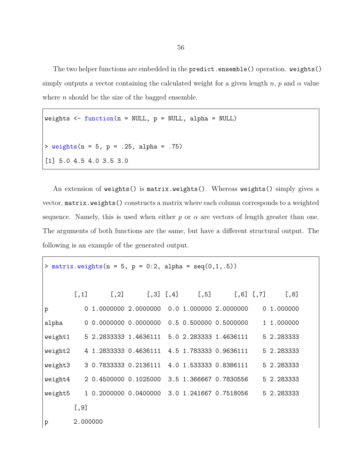The two helper functions are embedded in the predict.ensemble() operation. weights() simply outputs a vector containing the calculated weight for a given length  $n$ ,  $p$  and  $\alpha$  value where *n* should be the size of the bagged ensemble.

```
weights \leftarrow function(n = NULL, p = NULL, alpha = NULL)
> weights(n = 5, p = .25, alpha = .75)[1] 5.0 4.5 4.0 3.5 3.0
```
An extension of weights() is matrix.weights(). Whereas weights() simply gives a vector, matrix.weights() constructs a matrix where each column corresponds to a weighted sequence. Namely, this is used when either  $p$  or  $\alpha$  are vectors of length greater than one. The arguments of both functions are the same, but have a different structural output. The following is an example of the generated output.

| > matrix.weights( $n = 5$ , $p = 0:2$ , alpha = seq(0,1,.5)) |          |                                                         |  |  |  |  |            |  |
|--------------------------------------------------------------|----------|---------------------------------------------------------|--|--|--|--|------------|--|
|                                                              | [, 1]    | $[0,2]$ $[0,3]$ $[0,4]$ $[0,5]$ $[0,6]$ $[0,7]$ $[0,8]$ |  |  |  |  |            |  |
| p                                                            |          | $0$ 1.0000000 2.0000000 0.0 1.000000 2.0000000          |  |  |  |  | 0 1.000000 |  |
| alpha                                                        |          |                                                         |  |  |  |  | 1 1.000000 |  |
| weight1                                                      |          | 5 2.2833333 1.4636111 5.0 2.283333 1.4636111            |  |  |  |  | 5 2.283333 |  |
| weight2                                                      |          | 4 1.2833333 0.4636111 4.5 1.783333 0.9636111            |  |  |  |  | 5 2.283333 |  |
| weight3                                                      |          | 3 0.7833333 0.2136111 4.0 1.533333 0.8386111            |  |  |  |  | 5 2.283333 |  |
| weight4                                                      |          | 2 0.4500000 0.1025000 3.5 1.366667 0.7830556            |  |  |  |  | 5 2.283333 |  |
| weight5                                                      |          | 1 0.2000000 0.0400000 3.0 1.241667 0.7518056            |  |  |  |  | 5 2.283333 |  |
|                                                              | [, 9]    |                                                         |  |  |  |  |            |  |
| p                                                            | 2.000000 |                                                         |  |  |  |  |            |  |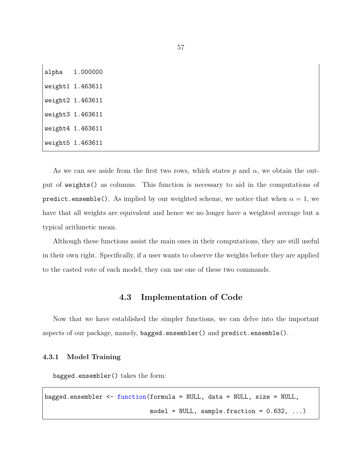| alpha | 1.000000         |
|-------|------------------|
|       | weight1 1.463611 |
|       | weight2 1.463611 |
|       | weight3 1.463611 |
|       | weight4 1.463611 |
|       | weight5 1.463611 |

As we can see aside from the first two rows, which states  $p$  and  $\alpha$ , we obtain the output of weights() as columns. This function is necessary to aid in the computations of predict.ensemble(). As implied by our weighted scheme, we notice that when  $\alpha = 1$ , we have that all weights are equivalent and hence we no longer have a weighted average but a typical arithmetic mean.

Although these functions assist the main ones in their computations, they are still useful in their own right. Specifically, if a user wants to observe the weights before they are applied to the casted vote of each model, they can use one of these two commands.

# **4.3 Implementation of Code**

Now that we have established the simpler functions, we can delve into the important aspects of our package, namely, bagged.ensembler() and predict.ensemble().

## **4.3.1 Model Training**

bagged.ensembler() takes the form:

```
bagged.ensembler \leq function(formula = NULL, data = NULL, size = NULL,
                             model = NULL, sample.fraction = 0.632, ...)
```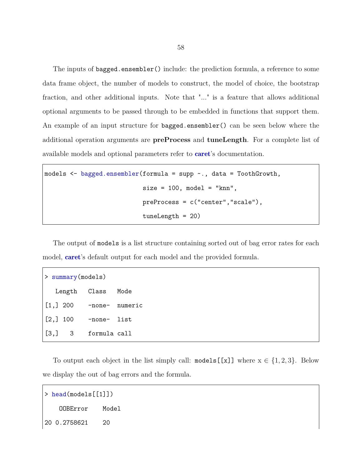The inputs of bagged.ensembler() include: the prediction formula, a reference to some data frame object, the number of models to construct, the model of choice, the bootstrap fraction, and other additional inputs. Note that "..." is a feature that allows additional optional arguments to be passed through to be embedded in functions that support them. An example of an input structure for bagged.ensembler() can be seen below where the additional operation arguments are **preProcess** and **tuneLength**. For a complete list of available models and optional parameters refer to **[caret](https://CRAN.R-project.org/package=caret)**'s documentation.

```
models <- bagged.ensembler(formula = supp ~., data = ToothGrowth,
                           size = 100, model = "kmn",
                           preProcess = c("center","scale"),
                           tuneLength = 20)
```
The output of models is a list structure containing sorted out of bag error rates for each model, **[caret](https://CRAN.R-project.org/package=caret)**'s default output for each model and the provided formula.

```
> summary(models)
  Length Class Mode
[1,] 200 -none- numeric
[2,] 100 -none- list
[3,] 3 formula call
```
To output each object in the list simply call:  $\text{models}$  [[x]] where  $x \in \{1, 2, 3\}$ . Below we display the out of bag errors and the formula.

```
> head(models[[1]])
   OOBError Model
20 0.2758621 20
```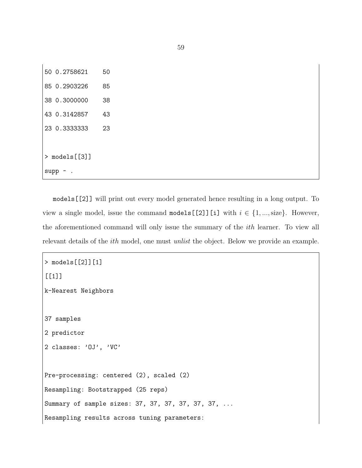| 50 0.2758621                  | 50 |
|-------------------------------|----|
| 85 0.2903226                  | 85 |
| 38 0.3000000                  | 38 |
| 43 0.3142857                  | 43 |
| 23 0.3333333                  | 23 |
|                               |    |
| $>$ models[[3]]               |    |
| supp<br>$\tilde{\phantom{a}}$ |    |

models[[2]] will print out every model generated hence resulting in a long output. To view a single model, issue the command models [[2]][i] with  $i \in \{1, ..., size\}$ . However, the aforementioned command will only issue the summary of the *ith* learner. To view all relevant details of the *ith* model, one must *unlist* the object. Below we provide an example.

```
> models[[2]][1]
[[1]]
k-Nearest Neighbors
37 samples
2 predictor
2 classes: 'OJ', 'VC'
Pre-processing: centered (2), scaled (2)
Resampling: Bootstrapped (25 reps)
Summary of sample sizes: 37, 37, 37, 37, 37, 37, ...
Resampling results across tuning parameters:
```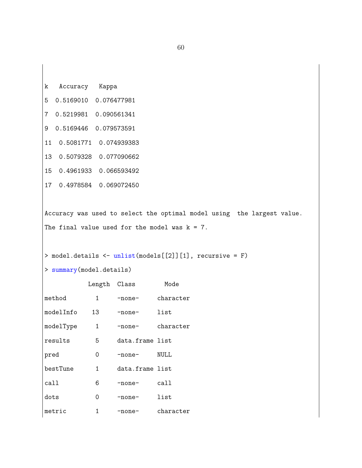```
k Accuracy Kappa
```
- 5 0.5169010 0.076477981
- 7 0.5219981 0.090561341
- 9 0.5169446 0.079573591
- 11 0.5081771 0.074939383
- 13 0.5079328 0.077090662
- 15 0.4961933 0.066593492
- 17 0.4978584 0.069072450

Accuracy was used to select the optimal model using the largest value. The final value used for the model was  $k = 7$ .

```
> model.details <- unlist(models[[2]][1], recursive = F)
```
> summary(model.details)

|           | Length | Class           | Mode        |
|-----------|--------|-----------------|-------------|
| method    | 1      | -none-          | character   |
| modelInfo | 13     | $-none-$        | list        |
| modelType | 1      | -none-          | character   |
| results   | 5      | data.frame list |             |
| pred      | 0      | -none-          | <b>NULL</b> |
| bestTune  | 1      | data.frame list |             |
| call      | 6      | -none-          | call        |
| dots      | 0      | -none-          | list        |
| metric    | 1      | -none-          | character   |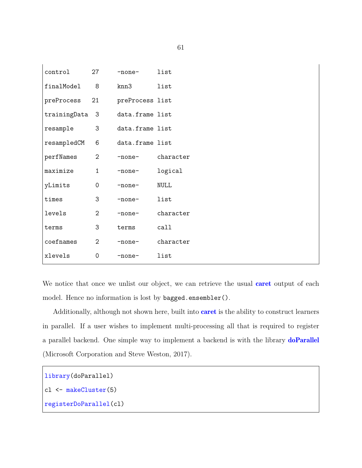| control      | 27                | -none-          | list        |
|--------------|-------------------|-----------------|-------------|
| finalModel   | 8                 | knn3            | list        |
| preProcess   | 21                | preProcess list |             |
| trainingData | 3                 | data.frame list |             |
| resample     | 3                 | data.frame list |             |
| resampledCM  | 6                 | data.frame list |             |
| perfNames    | $\mathcal{D}_{1}$ | $-none-$        | character   |
| maximize     | 1                 | -none-          | logical     |
| yLimits      | 0                 | -none-          | <b>NULL</b> |
| times        | 3                 | -none-          | list        |
| levels       | 2                 | $-none-$        | character   |
| terms        | 3                 | terms           | call        |
| coefnames    | 2                 | $-none-$        | character   |
| xlevels      | 0                 | -none-          | list        |

We notice that once we unlist our object, we can retrieve the usual **[caret](https://CRAN.R-project.org/package=caret)** output of each model. Hence no information is lost by bagged.ensembler().

Additionally, although not shown here, built into **[caret](https://CRAN.R-project.org/package=caret)** is the ability to construct learners in parallel. If a user wishes to implement multi-processing all that is required to register a parallel backend. One simple way to implement a backend is with the library [doParallel](https://CRAN.R-project.org/package=doParallel) (Microsoft Corporation and Steve Weston, 2017).

```
library(doParallel)
cl <- makeCluster(5)
registerDoParallel(cl)
```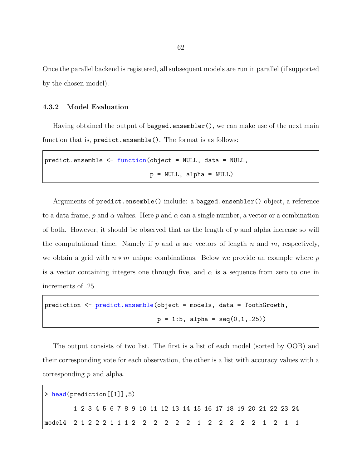Once the parallel backend is registered, all subsequent models are run in parallel (if supported by the chosen model).

#### **4.3.2 Model Evaluation**

Having obtained the output of bagged.ensembler(), we can make use of the next main function that is,  $predict.ensemble()$ . The format is as follows:

```
predict.ensemble <- function(object = NULL, data = NULL,
                 p = NULL, alpha = NULL)
```
Arguments of predict.ensemble() include: a bagged.ensembler() object, a reference to a data frame, *p* and  $\alpha$  values. Here *p* and  $\alpha$  can a single number, a vector or a combination of both. However, it should be observed that as the length of *p* and alpha increase so will the computational time. Namely if  $p$  and  $\alpha$  are vectors of length  $n$  and  $m$ , respectively, we obtain a grid with *n* ∗ *m* unique combinations. Below we provide an example where *p* is a vector containing integers one through five, and  $\alpha$  is a sequence from zero to one in increments of .25.

```
prediction <- predict.ensemble(object = models, data = ToothGrowth,
                   p = 1:5, alpha = seq(0,1, .25)
```
The output consists of two list. The first is a list of each model (sorted by OOB) and their corresponding vote for each observation, the other is a list with accuracy values with a corresponding *p* and alpha.

> head(prediction[[1]],5) 1 2 3 4 5 6 7 8 9 10 11 12 13 14 15 16 17 18 19 20 21 22 23 24 model4 2 1 2 2 2 1 1 1 2 2 2 2 2 2 1 2 2 2 2 2 1 2 1 1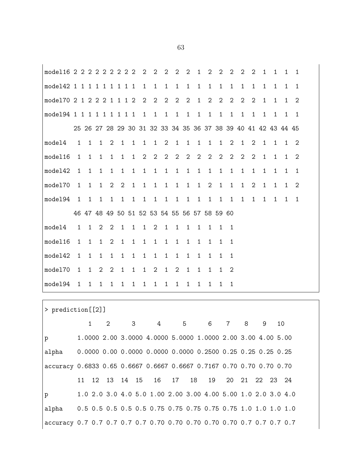| $\overline{2}$<br>$\overline{2}$<br>$\overline{2}$<br>$\overline{2}$<br>$\overline{2}$<br>$\overline{2}$<br>$\overline{2}$<br>$\overline{2}$<br>$\overline{2}$<br>model16 2 2 2 2 2 2 2 2 2<br>$\overline{2}$<br>$\mathbf{1}$<br>$\mathbf{1}$<br>$\mathbf{1}$<br>$\mathbf{1}$<br>1<br>mode142 1 1 1 1 1 1 1 1 1<br>$\mathbf{1}$<br>$\mathbf{1}$<br>$\mathbf{1}$<br>$\mathbf{1}$<br>$\mathbf{1}$<br>$\mathbf{1}$<br>$\mathbf{1}$<br>$\mathbf{1}$<br>$\mathbf{1}$<br>$\mathbf{1}$<br>$\mathbf{1}$<br>$\mathbf{1}$<br>$\mathbf{1}$<br>$\mathbf{1}$<br>$\mathbf{1}$<br>$\overline{2}$<br>2<br>$\overline{2}$<br>2<br>2<br>2<br>$\overline{2}$<br>mode170 2 1 2 2 2 1 1 1 2<br>$\overline{2}$<br>2<br>$\mathbf{1}$<br>$\overline{2}$<br>$\mathbf{1}$<br>2<br>$\mathbf{1}$<br>$\mathbf{1}$<br>$\mathbf{1}$<br>$\mathbf{1}$<br>$\mathbf{1}$<br>$\mathbf{1}$<br>$\mathbf{1}$<br>$\mathbf{1}$<br>$\mathbf{1}$<br>$\mathbf{1}$<br>$\mathbf{1}$<br>$\mathbf{1}$<br>$\mathbf{1}$<br>mode194 1 1 1 1<br>$\mathbf{1}$<br>$1\quad1$<br>$\mathbf{1}$<br>$\mathbf{1}$<br>$\mathbf{1}$<br>$\mathbf{1}$<br>$\mathbf{1}$<br>$\mathbf{1}$<br>25 26 27 28 29 30 31 32 33 34 35 36 37 38 39 40 41 42 43 44 45<br>$\overline{2}$<br>$\overline{2}$<br>mode14<br>2<br>$\mathbf{1}$<br>$\mathbf{1}$<br>$\overline{2}$<br>$\mathbf{1}$<br>$\mathbf{1}$<br>$\mathbf{1}$<br>$\mathbf{1}$<br>$\mathbf{1}$<br>$\mathbf{1}$<br>$\overline{2}$<br>$\mathbf{1}$<br>$\mathbf{1}$<br>$\mathbf{1}$<br>$\mathbf{1}$<br>$\mathbf{1}$<br>$\mathbf{1}$<br>$\mathbf{1}$<br>1<br>model16<br>$\overline{2}$<br>$\overline{2}$<br>$\overline{2}$<br>$\overline{2}$<br>$\overline{2}$<br>$\overline{2}$<br>$\overline{2}$<br>$\overline{2}$<br>$\overline{2}$<br>$\overline{2}$<br>$\overline{2}$<br>$\mathbf{1}$<br>$\mathbf{1}$<br>$\mathbf{1}$<br>$\mathbf{1}$<br>2<br>$\mathbf{1}$<br>$\mathbf{1}$<br>$\mathbf{1}$<br>$\mathbf{1}$<br>$\mathbf{1}$<br>mode142<br>$\mathbf{1}$<br>$\mathbf{1}$<br>$\mathbf{1}$<br>$\mathbf{1}$<br>$\mathbf{1}$<br>$\mathbf{1}$<br>$\mathbf{1}$<br>$\mathbf{1}$<br>$\mathbf{1}$<br>$\mathbf{1}$<br>$\mathbf{1}$<br>$\mathbf{1}$<br>$\mathbf{1}$<br>$\mathbf{1}$<br>$\mathbf{1}$<br>$\mathbf{1}$<br>$\mathbf{1}$<br>$\mathbf{1}$<br>$\mathbf{1}$<br>$\mathbf{1}$<br>$\mathbf{1}$<br>$\overline{2}$<br>$\overline{2}$<br>2<br>$\mathbf{1}$<br>$\mathbf{1}$<br>2<br>$\mathbf{1}$<br>model70<br>$\mathbf{1}$<br>$\mathbf{1}$<br>$\mathbf{1}$<br>$\mathbf{1}$<br>$\mathbf{1}$<br>$\mathbf{1}$<br>$\mathbf{1}$<br>$\mathbf{1}$<br>$\mathbf{1}$<br>$\mathfrak{D}$<br>$\mathbf{1}$<br>$\mathbf{1}$<br>$\mathbf{1}$<br>$\mathbf{1}$<br>$\mathbf{1}$<br>mode194<br>$\mathbf{1}$<br>$\mathbf{1}$<br>$\mathbf{1}$<br>$\mathbf{1}$<br>$\mathbf{1}$<br>$\mathbf{1}$<br>$\mathbf{1}$<br>$\mathbf{1}$<br>$\mathbf{1}$<br>$\mathbf{1}$<br>$\mathbf{1}$<br>$\mathbf{1}$<br>$\mathbf{1}$<br>$\mathbf{1}$<br>$\mathbf{1}$<br>$\mathbf{1}$<br>$\mathbf{1}$<br>$\mathbf{1}$<br>$\mathbf{1}$<br>$\mathbf{1}$<br>46 47 48 49 50 51 52 53 54 55 56 57 58 59 60<br>$\overline{2}$<br>mode14<br>$\mathcal{D}$<br>2<br>$\mathbf{1}$<br>$\mathbf{1}$<br>$\mathbf{1}$<br>$\mathbf{1}$<br>$\mathbf{1}$<br>$\mathbf{1}$<br>$\mathbf{1}$<br>$\mathbf{1}$<br>$\mathbf{1}$<br>1<br>$\mathbf{1}$<br>1<br>model16<br>$\overline{2}$<br>$\mathbf{1}$<br>$\mathbf{1}$<br>$\mathbf{1}$<br>$\mathbf{1}$<br>$\mathbf{1}$<br>$\mathbf{1}$<br>$\mathbf{1}$<br>$\mathbf{1}$<br>$\mathbf{1}$<br>$\mathbf{1}$<br>$\mathbf{1}$<br>$\mathbf{1}$<br>$\mathbf{1}$<br>1<br>mode142<br>$\mathbf{1}$<br>$\mathbf{1}$<br>$\mathbf{1}$<br>$\mathbf{1}$<br>$\mathbf{1}$<br>$\mathbf{1}$<br>$\mathbf{1}$<br>$\mathbf{1}$<br>$\mathbf{1}$<br>$\mathbf{1}$<br>$\mathbf{1}$<br>$\mathbf{1}$<br>$\mathbf{1}$<br>$\mathbf{1}$<br>$\mathbf{1}$<br>mode170<br>$\overline{2}$<br>$\overline{2}$<br>2<br>$\mathbf{1}$<br>2<br>$\mathbf{1}$<br>$\mathbf{1}$<br>$\mathbf{1}$<br>$\mathbf{1}$<br>2<br>$\mathbf 1$<br>$\mathbf{1}$<br>$\mathbf{1}$<br>$\mathbf{1}$<br>$\mathbf{1}$<br>mode194<br>1<br>1<br>1<br>1<br>1<br>1<br>1<br>1<br>1<br>1<br>$\mathbf{1}$<br>1<br>1<br>1<br>1 |  |  |  |  |  |  |  |  |  |  |  |  |  |
|--------------------------------------------------------------------------------------------------------------------------------------------------------------------------------------------------------------------------------------------------------------------------------------------------------------------------------------------------------------------------------------------------------------------------------------------------------------------------------------------------------------------------------------------------------------------------------------------------------------------------------------------------------------------------------------------------------------------------------------------------------------------------------------------------------------------------------------------------------------------------------------------------------------------------------------------------------------------------------------------------------------------------------------------------------------------------------------------------------------------------------------------------------------------------------------------------------------------------------------------------------------------------------------------------------------------------------------------------------------------------------------------------------------------------------------------------------------------------------------------------------------------------------------------------------------------------------------------------------------------------------------------------------------------------------------------------------------------------------------------------------------------------------------------------------------------------------------------------------------------------------------------------------------------------------------------------------------------------------------------------------------------------------------------------------------------------------------------------------------------------------------------------------------------------------------------------------------------------------------------------------------------------------------------------------------------------------------------------------------------------------------------------------------------------------------------------------------------------------------------------------------------------------------------------------------------------------------------------------------------------------------------------------------------------------------------------------------------------------------------------------------------------------------------------------------------------------------------------------------------------------------------------------------------------------------------------------------------------------------------------------------------------------------------------------------------------------------------------------------------------------------------------------------------------------------------------------------------------------------------------------------------------------------------------------------------------------------------------------------------------------------------------------------------------------------------------------------------------------------------------------------------------------------------------------------------------------------------------------------------------------------------------------------------------------------------------------------------------------------------------------------------------------------------------------------------------------------------------------------------------------------------------------------------------------------------------------------------------------------------------------------------------------------------------------------------------------------------------|--|--|--|--|--|--|--|--|--|--|--|--|--|
|                                                                                                                                                                                                                                                                                                                                                                                                                                                                                                                                                                                                                                                                                                                                                                                                                                                                                                                                                                                                                                                                                                                                                                                                                                                                                                                                                                                                                                                                                                                                                                                                                                                                                                                                                                                                                                                                                                                                                                                                                                                                                                                                                                                                                                                                                                                                                                                                                                                                                                                                                                                                                                                                                                                                                                                                                                                                                                                                                                                                                                                                                                                                                                                                                                                                                                                                                                                                                                                                                                                                                                                                                                                                                                                                                                                                                                                                                                                                                                                                                                                                                                  |  |  |  |  |  |  |  |  |  |  |  |  |  |
|                                                                                                                                                                                                                                                                                                                                                                                                                                                                                                                                                                                                                                                                                                                                                                                                                                                                                                                                                                                                                                                                                                                                                                                                                                                                                                                                                                                                                                                                                                                                                                                                                                                                                                                                                                                                                                                                                                                                                                                                                                                                                                                                                                                                                                                                                                                                                                                                                                                                                                                                                                                                                                                                                                                                                                                                                                                                                                                                                                                                                                                                                                                                                                                                                                                                                                                                                                                                                                                                                                                                                                                                                                                                                                                                                                                                                                                                                                                                                                                                                                                                                                  |  |  |  |  |  |  |  |  |  |  |  |  |  |
|                                                                                                                                                                                                                                                                                                                                                                                                                                                                                                                                                                                                                                                                                                                                                                                                                                                                                                                                                                                                                                                                                                                                                                                                                                                                                                                                                                                                                                                                                                                                                                                                                                                                                                                                                                                                                                                                                                                                                                                                                                                                                                                                                                                                                                                                                                                                                                                                                                                                                                                                                                                                                                                                                                                                                                                                                                                                                                                                                                                                                                                                                                                                                                                                                                                                                                                                                                                                                                                                                                                                                                                                                                                                                                                                                                                                                                                                                                                                                                                                                                                                                                  |  |  |  |  |  |  |  |  |  |  |  |  |  |
|                                                                                                                                                                                                                                                                                                                                                                                                                                                                                                                                                                                                                                                                                                                                                                                                                                                                                                                                                                                                                                                                                                                                                                                                                                                                                                                                                                                                                                                                                                                                                                                                                                                                                                                                                                                                                                                                                                                                                                                                                                                                                                                                                                                                                                                                                                                                                                                                                                                                                                                                                                                                                                                                                                                                                                                                                                                                                                                                                                                                                                                                                                                                                                                                                                                                                                                                                                                                                                                                                                                                                                                                                                                                                                                                                                                                                                                                                                                                                                                                                                                                                                  |  |  |  |  |  |  |  |  |  |  |  |  |  |
|                                                                                                                                                                                                                                                                                                                                                                                                                                                                                                                                                                                                                                                                                                                                                                                                                                                                                                                                                                                                                                                                                                                                                                                                                                                                                                                                                                                                                                                                                                                                                                                                                                                                                                                                                                                                                                                                                                                                                                                                                                                                                                                                                                                                                                                                                                                                                                                                                                                                                                                                                                                                                                                                                                                                                                                                                                                                                                                                                                                                                                                                                                                                                                                                                                                                                                                                                                                                                                                                                                                                                                                                                                                                                                                                                                                                                                                                                                                                                                                                                                                                                                  |  |  |  |  |  |  |  |  |  |  |  |  |  |
|                                                                                                                                                                                                                                                                                                                                                                                                                                                                                                                                                                                                                                                                                                                                                                                                                                                                                                                                                                                                                                                                                                                                                                                                                                                                                                                                                                                                                                                                                                                                                                                                                                                                                                                                                                                                                                                                                                                                                                                                                                                                                                                                                                                                                                                                                                                                                                                                                                                                                                                                                                                                                                                                                                                                                                                                                                                                                                                                                                                                                                                                                                                                                                                                                                                                                                                                                                                                                                                                                                                                                                                                                                                                                                                                                                                                                                                                                                                                                                                                                                                                                                  |  |  |  |  |  |  |  |  |  |  |  |  |  |
|                                                                                                                                                                                                                                                                                                                                                                                                                                                                                                                                                                                                                                                                                                                                                                                                                                                                                                                                                                                                                                                                                                                                                                                                                                                                                                                                                                                                                                                                                                                                                                                                                                                                                                                                                                                                                                                                                                                                                                                                                                                                                                                                                                                                                                                                                                                                                                                                                                                                                                                                                                                                                                                                                                                                                                                                                                                                                                                                                                                                                                                                                                                                                                                                                                                                                                                                                                                                                                                                                                                                                                                                                                                                                                                                                                                                                                                                                                                                                                                                                                                                                                  |  |  |  |  |  |  |  |  |  |  |  |  |  |
|                                                                                                                                                                                                                                                                                                                                                                                                                                                                                                                                                                                                                                                                                                                                                                                                                                                                                                                                                                                                                                                                                                                                                                                                                                                                                                                                                                                                                                                                                                                                                                                                                                                                                                                                                                                                                                                                                                                                                                                                                                                                                                                                                                                                                                                                                                                                                                                                                                                                                                                                                                                                                                                                                                                                                                                                                                                                                                                                                                                                                                                                                                                                                                                                                                                                                                                                                                                                                                                                                                                                                                                                                                                                                                                                                                                                                                                                                                                                                                                                                                                                                                  |  |  |  |  |  |  |  |  |  |  |  |  |  |
|                                                                                                                                                                                                                                                                                                                                                                                                                                                                                                                                                                                                                                                                                                                                                                                                                                                                                                                                                                                                                                                                                                                                                                                                                                                                                                                                                                                                                                                                                                                                                                                                                                                                                                                                                                                                                                                                                                                                                                                                                                                                                                                                                                                                                                                                                                                                                                                                                                                                                                                                                                                                                                                                                                                                                                                                                                                                                                                                                                                                                                                                                                                                                                                                                                                                                                                                                                                                                                                                                                                                                                                                                                                                                                                                                                                                                                                                                                                                                                                                                                                                                                  |  |  |  |  |  |  |  |  |  |  |  |  |  |
|                                                                                                                                                                                                                                                                                                                                                                                                                                                                                                                                                                                                                                                                                                                                                                                                                                                                                                                                                                                                                                                                                                                                                                                                                                                                                                                                                                                                                                                                                                                                                                                                                                                                                                                                                                                                                                                                                                                                                                                                                                                                                                                                                                                                                                                                                                                                                                                                                                                                                                                                                                                                                                                                                                                                                                                                                                                                                                                                                                                                                                                                                                                                                                                                                                                                                                                                                                                                                                                                                                                                                                                                                                                                                                                                                                                                                                                                                                                                                                                                                                                                                                  |  |  |  |  |  |  |  |  |  |  |  |  |  |
|                                                                                                                                                                                                                                                                                                                                                                                                                                                                                                                                                                                                                                                                                                                                                                                                                                                                                                                                                                                                                                                                                                                                                                                                                                                                                                                                                                                                                                                                                                                                                                                                                                                                                                                                                                                                                                                                                                                                                                                                                                                                                                                                                                                                                                                                                                                                                                                                                                                                                                                                                                                                                                                                                                                                                                                                                                                                                                                                                                                                                                                                                                                                                                                                                                                                                                                                                                                                                                                                                                                                                                                                                                                                                                                                                                                                                                                                                                                                                                                                                                                                                                  |  |  |  |  |  |  |  |  |  |  |  |  |  |
|                                                                                                                                                                                                                                                                                                                                                                                                                                                                                                                                                                                                                                                                                                                                                                                                                                                                                                                                                                                                                                                                                                                                                                                                                                                                                                                                                                                                                                                                                                                                                                                                                                                                                                                                                                                                                                                                                                                                                                                                                                                                                                                                                                                                                                                                                                                                                                                                                                                                                                                                                                                                                                                                                                                                                                                                                                                                                                                                                                                                                                                                                                                                                                                                                                                                                                                                                                                                                                                                                                                                                                                                                                                                                                                                                                                                                                                                                                                                                                                                                                                                                                  |  |  |  |  |  |  |  |  |  |  |  |  |  |
|                                                                                                                                                                                                                                                                                                                                                                                                                                                                                                                                                                                                                                                                                                                                                                                                                                                                                                                                                                                                                                                                                                                                                                                                                                                                                                                                                                                                                                                                                                                                                                                                                                                                                                                                                                                                                                                                                                                                                                                                                                                                                                                                                                                                                                                                                                                                                                                                                                                                                                                                                                                                                                                                                                                                                                                                                                                                                                                                                                                                                                                                                                                                                                                                                                                                                                                                                                                                                                                                                                                                                                                                                                                                                                                                                                                                                                                                                                                                                                                                                                                                                                  |  |  |  |  |  |  |  |  |  |  |  |  |  |
|                                                                                                                                                                                                                                                                                                                                                                                                                                                                                                                                                                                                                                                                                                                                                                                                                                                                                                                                                                                                                                                                                                                                                                                                                                                                                                                                                                                                                                                                                                                                                                                                                                                                                                                                                                                                                                                                                                                                                                                                                                                                                                                                                                                                                                                                                                                                                                                                                                                                                                                                                                                                                                                                                                                                                                                                                                                                                                                                                                                                                                                                                                                                                                                                                                                                                                                                                                                                                                                                                                                                                                                                                                                                                                                                                                                                                                                                                                                                                                                                                                                                                                  |  |  |  |  |  |  |  |  |  |  |  |  |  |
|                                                                                                                                                                                                                                                                                                                                                                                                                                                                                                                                                                                                                                                                                                                                                                                                                                                                                                                                                                                                                                                                                                                                                                                                                                                                                                                                                                                                                                                                                                                                                                                                                                                                                                                                                                                                                                                                                                                                                                                                                                                                                                                                                                                                                                                                                                                                                                                                                                                                                                                                                                                                                                                                                                                                                                                                                                                                                                                                                                                                                                                                                                                                                                                                                                                                                                                                                                                                                                                                                                                                                                                                                                                                                                                                                                                                                                                                                                                                                                                                                                                                                                  |  |  |  |  |  |  |  |  |  |  |  |  |  |
|                                                                                                                                                                                                                                                                                                                                                                                                                                                                                                                                                                                                                                                                                                                                                                                                                                                                                                                                                                                                                                                                                                                                                                                                                                                                                                                                                                                                                                                                                                                                                                                                                                                                                                                                                                                                                                                                                                                                                                                                                                                                                                                                                                                                                                                                                                                                                                                                                                                                                                                                                                                                                                                                                                                                                                                                                                                                                                                                                                                                                                                                                                                                                                                                                                                                                                                                                                                                                                                                                                                                                                                                                                                                                                                                                                                                                                                                                                                                                                                                                                                                                                  |  |  |  |  |  |  |  |  |  |  |  |  |  |

| $>$ prediction $[2]$ ]                                               |  |                        |  |              |  |  |  |  |                                                              |  |  |  |  |
|----------------------------------------------------------------------|--|------------------------|--|--------------|--|--|--|--|--------------------------------------------------------------|--|--|--|--|
|                                                                      |  | $1 \quad \blacksquare$ |  | $2 \qquad 3$ |  |  |  |  | 4 5 6 7 8 9 10                                               |  |  |  |  |
| p                                                                    |  |                        |  |              |  |  |  |  | 1.0000 2.00 3.0000 4.0000 5.0000 1.0000 2.00 3.00 4.00 5.00  |  |  |  |  |
|                                                                      |  |                        |  |              |  |  |  |  |                                                              |  |  |  |  |
| accuracy 0.6833 0.65 0.6667 0.6667 0.6667 0.7167 0.70 0.70 0.70 0.70 |  |                        |  |              |  |  |  |  |                                                              |  |  |  |  |
|                                                                      |  |                        |  |              |  |  |  |  | 11 12 13 14 15 16 17 18 19 20 21 22 23 24                    |  |  |  |  |
| p                                                                    |  |                        |  |              |  |  |  |  | 1.0 2.0 3.0 4.0 5.0 1.00 2.00 3.00 4.00 5.00 1.0 2.0 3.0 4.0 |  |  |  |  |
|                                                                      |  |                        |  |              |  |  |  |  |                                                              |  |  |  |  |
|                                                                      |  |                        |  |              |  |  |  |  |                                                              |  |  |  |  |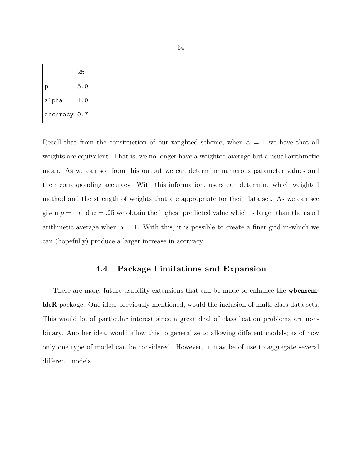|              | 25  |
|--------------|-----|
| p            | 5.0 |
| alpha        | 1.0 |
| accuracy 0.7 |     |

Recall that from the construction of our weighted scheme, when  $\alpha = 1$  we have that all weights are equivalent. That is, we no longer have a weighted average but a usual arithmetic mean. As we can see from this output we can determine numerous parameter values and their corresponding accuracy. With this information, users can determine which weighted method and the strength of weights that are appropriate for their data set. As we can see given  $p = 1$  and  $\alpha = .25$  we obtain the highest predicted value which is larger than the usual arithmetic average when  $\alpha = 1$ . With this, it is possible to create a finer grid in-which we can (hopefully) produce a larger increase in accuracy.

# **4.4 Package Limitations and Expansion**

There are many future usability extensions that can be made to enhance the **wbensem**bleR package. One idea, previously mentioned, would the inclusion of multi-class data sets. This would be of particular interest since a great deal of classification problems are nonbinary. Another idea, would allow this to generalize to allowing different models; as of now only one type of model can be considered. However, it may be of use to aggregate several different models.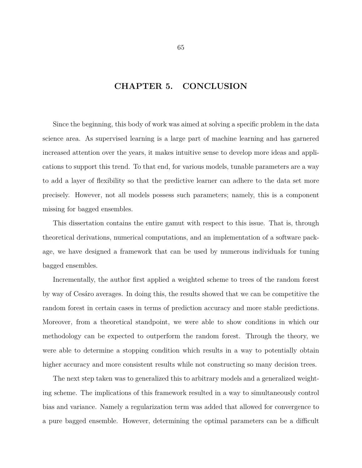### **CHAPTER 5. CONCLUSION**

Since the beginning, this body of work was aimed at solving a specific problem in the data science area. As supervised learning is a large part of machine learning and has garnered increased attention over the years, it makes intuitive sense to develop more ideas and applications to support this trend. To that end, for various models, tunable parameters are a way to add a layer of flexibility so that the predictive learner can adhere to the data set more precisely. However, not all models possess such parameters; namely, this is a component missing for bagged ensembles.

This dissertation contains the entire gamut with respect to this issue. That is, through theoretical derivations, numerical computations, and an implementation of a software package, we have designed a framework that can be used by numerous individuals for tuning bagged ensembles.

Incrementally, the author first applied a weighted scheme to trees of the random forest by way of Cesáro averages. In doing this, the results showed that we can be competitive the random forest in certain cases in terms of prediction accuracy and more stable predictions. Moreover, from a theoretical standpoint, we were able to show conditions in which our methodology can be expected to outperform the random forest. Through the theory, we were able to determine a stopping condition which results in a way to potentially obtain higher accuracy and more consistent results while not constructing so many decision trees.

The next step taken was to generalized this to arbitrary models and a generalized weighting scheme. The implications of this framework resulted in a way to simultaneously control bias and variance. Namely a regularization term was added that allowed for convergence to a pure bagged ensemble. However, determining the optimal parameters can be a difficult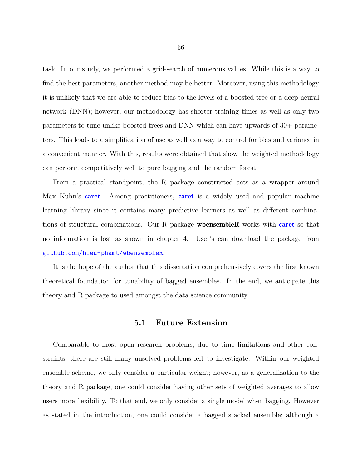task. In our study, we performed a grid-search of numerous values. While this is a way to find the best parameters, another method may be better. Moreover, using this methodology it is unlikely that we are able to reduce bias to the levels of a boosted tree or a deep neural network (DNN); however, our methodology has shorter training times as well as only two parameters to tune unlike boosted trees and DNN which can have upwards of 30+ parameters. This leads to a simplification of use as well as a way to control for bias and variance in a convenient manner. With this, results were obtained that show the weighted methodology can perform competitively well to pure bagging and the random forest.

From a practical standpoint, the R package constructed acts as a wrapper around Max Kuhn's **[caret](https://CRAN.R-project.org/package=caret)**. Among practitioners, **caret** is a widely used and popular machine learning library since it contains many predictive learners as well as different combinations of structural combinations. Our R package **wbensembleR** works with **[caret](https://CRAN.R-project.org/package=caret)** so that no information is lost as shown in chapter 4. User's can download the package from <github.com/hieu-phamt/wbensembleR>.

It is the hope of the author that this dissertation comprehensively covers the first known theoretical foundation for tunability of bagged ensembles. In the end, we anticipate this theory and R package to used amongst the data science community.

## **5.1 Future Extension**

Comparable to most open research problems, due to time limitations and other constraints, there are still many unsolved problems left to investigate. Within our weighted ensemble scheme, we only consider a particular weight; however, as a generalization to the theory and R package, one could consider having other sets of weighted averages to allow users more flexibility. To that end, we only consider a single model when bagging. However as stated in the introduction, one could consider a bagged stacked ensemble; although a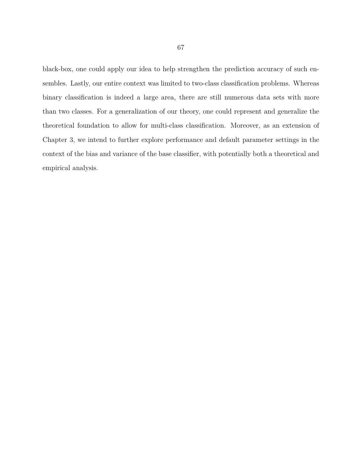black-box, one could apply our idea to help strengthen the prediction accuracy of such ensembles. Lastly, our entire context was limited to two-class classification problems. Whereas binary classification is indeed a large area, there are still numerous data sets with more than two classes. For a generalization of our theory, one could represent and generalize the theoretical foundation to allow for multi-class classification. Moreover, as an extension of Chapter 3, we intend to further explore performance and default parameter settings in the context of the bias and variance of the base classifier, with potentially both a theoretical and empirical analysis.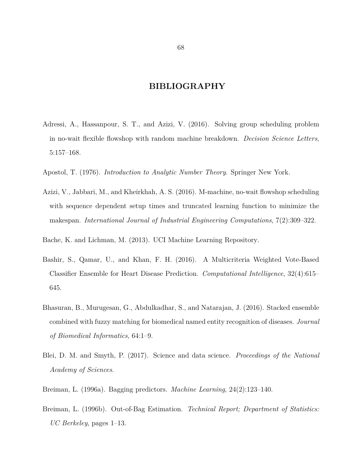### **BIBLIOGRAPHY**

- Adressi, A., Hassanpour, S. T., and Azizi, V. (2016). Solving group scheduling problem in no-wait flexible flowshop with random machine breakdown. *Decision Science Letters*, 5:157–168.
- Apostol, T. (1976). *Introduction to Analytic Number Theory*. Springer New York.
- Azizi, V., Jabbari, M., and Kheirkhah, A. S. (2016). M-machine, no-wait flowshop scheduling with sequence dependent setup times and truncated learning function to minimize the makespan. *International Journal of Industrial Engineering Computations*, 7(2):309–322.

Bache, K. and Lichman, M. (2013). UCI Machine Learning Repository.

- Bashir, S., Qamar, U., and Khan, F. H. (2016). A Multicriteria Weighted Vote-Based Classifier Ensemble for Heart Disease Prediction. *Computational Intelligence*, 32(4):615– 645.
- Bhasuran, B., Murugesan, G., Abdulkadhar, S., and Natarajan, J. (2016). Stacked ensemble combined with fuzzy matching for biomedical named entity recognition of diseases. *Journal of Biomedical Informatics*, 64:1–9.
- Blei, D. M. and Smyth, P. (2017). Science and data science. *Proceedings of the National Academy of Sciences*.
- Breiman, L. (1996a). Bagging predictors. *Machine Learning*, 24(2):123–140.
- Breiman, L. (1996b). Out-of-Bag Estimation. *Technical Report; Department of Statistics: UC Berkeley*, pages 1–13.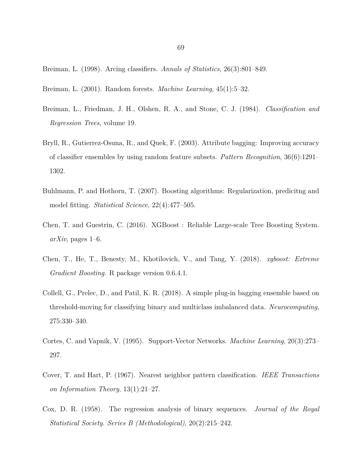Breiman, L. (1998). Arcing classifiers. *Annals of Statistics*, 26(3):801–849.

- Breiman, L. (2001). Random forests. *Machine Learning*, 45(1):5–32.
- Breiman, L., Friedman, J. H., Olshen, R. A., and Stone, C. J. (1984). *Classification and Regression Trees*, volume 19.
- Bryll, R., Gutierrez-Osuna, R., and Quek, F. (2003). Attribute bagging: Improving accuracy of classifier ensembles by using random feature subsets. *Pattern Recognition*, 36(6):1291– 1302.
- Buhlmann, P. and Hothorn, T. (2007). Boosting algorithms: Regularization, predicitng and model fitting. *Statistical Science*, 22(4):477–505.
- Chen, T. and Guestrin, C. (2016). XGBoost : Reliable Large-scale Tree Boosting System. *arXiv*, pages 1–6.
- Chen, T., He, T., Benesty, M., Khotilovich, V., and Tang, Y. (2018). *xgboost: Extreme Gradient Boosting*. R package version 0.6.4.1.
- Collell, G., Prelec, D., and Patil, K. R. (2018). A simple plug-in bagging ensemble based on threshold-moving for classifying binary and multiclass imbalanced data. *Neurocomputing*, 275:330–340.
- Cortes, C. and Vapnik, V. (1995). Support-Vector Networks. *Machine Learning*, 20(3):273– 297.
- Cover, T. and Hart, P. (1967). Nearest neighbor pattern classification. *IEEE Transactions on Information Theory*, 13(1):21–27.
- Cox, D. R. (1958). The regression analysis of binary sequences. *Journal of the Royal Statistical Society. Series B (Methodological)*, 20(2):215–242.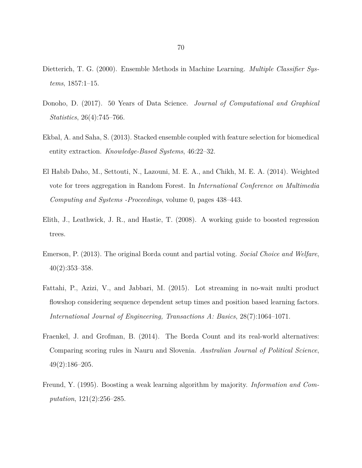- Dietterich, T. G. (2000). Ensemble Methods in Machine Learning. *Multiple Classifier Systems*, 1857:1–15.
- Donoho, D. (2017). 50 Years of Data Science. *Journal of Computational and Graphical Statistics*, 26(4):745–766.
- Ekbal, A. and Saha, S. (2013). Stacked ensemble coupled with feature selection for biomedical entity extraction. *Knowledge-Based Systems*, 46:22–32.
- El Habib Daho, M., Settouti, N., Lazouni, M. E. A., and Chikh, M. E. A. (2014). Weighted vote for trees aggregation in Random Forest. In *International Conference on Multimedia Computing and Systems -Proceedings*, volume 0, pages 438–443.
- Elith, J., Leathwick, J. R., and Hastie, T. (2008). A working guide to boosted regression trees.
- Emerson, P. (2013). The original Borda count and partial voting. *Social Choice and Welfare*, 40(2):353–358.
- Fattahi, P., Azizi, V., and Jabbari, M. (2015). Lot streaming in no-wait multi product flowshop considering sequence dependent setup times and position based learning factors. *International Journal of Engineering, Transactions A: Basics*, 28(7):1064–1071.
- Fraenkel, J. and Grofman, B. (2014). The Borda Count and its real-world alternatives: Comparing scoring rules in Nauru and Slovenia. *Australian Journal of Political Science*, 49(2):186–205.
- Freund, Y. (1995). Boosting a weak learning algorithm by majority. *Information and Computation*, 121(2):256–285.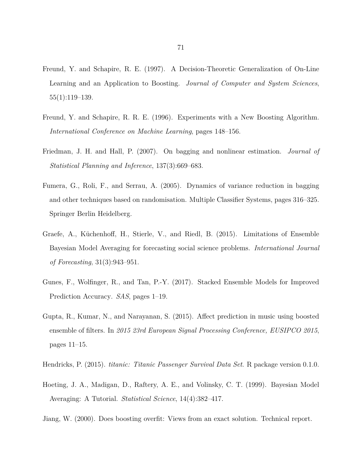- Freund, Y. and Schapire, R. E. (1997). A Decision-Theoretic Generalization of On-Line Learning and an Application to Boosting. *Journal of Computer and System Sciences*, 55(1):119–139.
- Freund, Y. and Schapire, R. R. E. (1996). Experiments with a New Boosting Algorithm. *International Conference on Machine Learning*, pages 148–156.
- Friedman, J. H. and Hall, P. (2007). On bagging and nonlinear estimation. *Journal of Statistical Planning and Inference*, 137(3):669–683.
- Fumera, G., Roli, F., and Serrau, A. (2005). Dynamics of variance reduction in bagging and other techniques based on randomisation. Multiple Classifier Systems, pages 316–325. Springer Berlin Heidelberg.
- Graefe, A., Küchenhoff, H., Stierle, V., and Riedl, B. (2015). Limitations of Ensemble Bayesian Model Averaging for forecasting social science problems. *International Journal of Forecasting*, 31(3):943–951.
- Gunes, F., Wolfinger, R., and Tan, P.-Y. (2017). Stacked Ensemble Models for Improved Prediction Accuracy. *SAS*, pages 1–19.
- Gupta, R., Kumar, N., and Narayanan, S. (2015). Affect prediction in music using boosted ensemble of filters. In *2015 23rd European Signal Processing Conference, EUSIPCO 2015*, pages 11–15.
- Hendricks, P. (2015). *titanic: Titanic Passenger Survival Data Set*. R package version 0.1.0.
- Hoeting, J. A., Madigan, D., Raftery, A. E., and Volinsky, C. T. (1999). Bayesian Model Averaging: A Tutorial. *Statistical Science*, 14(4):382–417.
- Jiang, W. (2000). Does boosting overfit: Views from an exact solution. Technical report.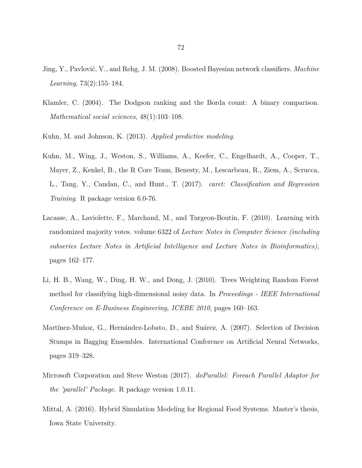- Jing, Y., Pavlović, V., and Rehg, J. M. (2008). Boosted Bayesian network classifiers. *Machine Learning*, 73(2):155–184.
- Klamler, C. (2004). The Dodgson ranking and the Borda count: A binary comparison. *Mathematical social sciences*, 48(1):103–108.
- Kuhn, M. and Johnson, K. (2013). *Applied predictive modeling*.
- Kuhn, M., Wing, J., Weston, S., Williams, A., Keefer, C., Engelhardt, A., Cooper, T., Mayer, Z., Kenkel, B., the R Core Team, Benesty, M., Lescarbeau, R., Ziem, A., Scrucca, L., Tang, Y., Candan, C., and Hunt., T. (2017). *caret: Classification and Regression Training*. R package version 6.0-76.
- Lacasse, A., Laviolette, F., Marchand, M., and Turgeon-Boutin, F. (2010). Learning with randomized majority votes. volume 6322 of *Lecture Notes in Computer Science (including subseries Lecture Notes in Artificial Intelligence and Lecture Notes in Bioinformatics)*, pages 162–177.
- Li, H. B., Wang, W., Ding, H. W., and Dong, J. (2010). Trees Weighting Random Forest method for classifying high-dimensional noisy data. In *Proceedings - IEEE International Conference on E-Business Engineering, ICEBE 2010*, pages 160–163.
- Martínez-Muñoz, G., Hernández-Lobato, D., and Suárez, A. (2007). Selection of Decision Stumps in Bagging Ensembles. International Conference on Artificial Neural Networks, pages 319–328.
- Microsoft Corporation and Steve Weston (2017). *doParallel: Foreach Parallel Adaptor for the 'parallel' Package*. R package version 1.0.11.
- Mittal, A. (2016). Hybrid Simulation Modeling for Regional Food Systems. Master's thesis, Iowa State University.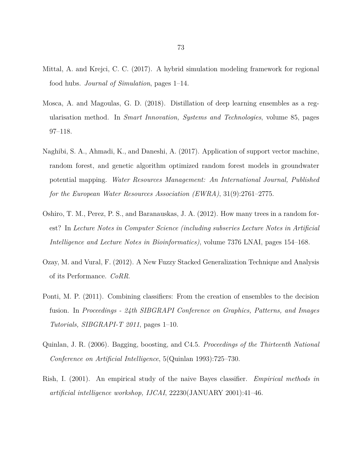- Mittal, A. and Krejci, C. C. (2017). A hybrid simulation modeling framework for regional food hubs. *Journal of Simulation*, pages 1–14.
- Mosca, A. and Magoulas, G. D. (2018). Distillation of deep learning ensembles as a regularisation method. In *Smart Innovation, Systems and Technologies*, volume 85, pages 97–118.
- Naghibi, S. A., Ahmadi, K., and Daneshi, A. (2017). Application of support vector machine, random forest, and genetic algorithm optimized random forest models in groundwater potential mapping. *Water Resources Management: An International Journal, Published for the European Water Resources Association (EWRA)*, 31(9):2761–2775.
- Oshiro, T. M., Perez, P. S., and Baranauskas, J. A. (2012). How many trees in a random forest? In *Lecture Notes in Computer Science (including subseries Lecture Notes in Artificial Intelligence and Lecture Notes in Bioinformatics)*, volume 7376 LNAI, pages 154–168.
- Ozay, M. and Vural, F. (2012). A New Fuzzy Stacked Generalization Technique and Analysis of its Performance. *CoRR*.
- Ponti, M. P. (2011). Combining classifiers: From the creation of ensembles to the decision fusion. In *Proceedings - 24th SIBGRAPI Conference on Graphics, Patterns, and Images Tutorials, SIBGRAPI-T 2011*, pages 1–10.
- Quinlan, J. R. (2006). Bagging, boosting, and C4.5. *Proceedings of the Thirteenth National Conference on Artificial Intelligence*, 5(Quinlan 1993):725–730.
- Rish, I. (2001). An empirical study of the naive Bayes classifier. *Empirical methods in artificial intelligence workshop, IJCAI*, 22230(JANUARY 2001):41–46.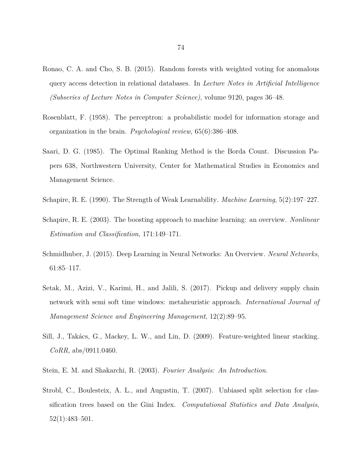- Ronao, C. A. and Cho, S. B. (2015). Random forests with weighted voting for anomalous query access detection in relational databases. In *Lecture Notes in Artificial Intelligence (Subseries of Lecture Notes in Computer Science)*, volume 9120, pages 36–48.
- Rosenblatt, F. (1958). The perceptron: a probabilistic model for information storage and organization in the brain. *Psychological review*, 65(6):386–408.
- Saari, D. G. (1985). The Optimal Ranking Method is the Borda Count. Discussion Papers 638, Northwestern University, Center for Mathematical Studies in Economics and Management Science.
- Schapire, R. E. (1990). The Strength of Weak Learnability. *Machine Learning*, 5(2):197–227.
- Schapire, R. E. (2003). The boosting approach to machine learning: an overview. *Nonlinear Estimation and Classification*, 171:149–171.
- Schmidhuber, J. (2015). Deep Learning in Neural Networks: An Overview. *Neural Networks*, 61:85–117.
- Setak, M., Azizi, V., Karimi, H., and Jalili, S. (2017). Pickup and delivery supply chain network with semi soft time windows: metaheuristic approach. *International Journal of Management Science and Engineering Management*, 12(2):89–95.
- Sill, J., Takács, G., Mackey, L. W., and Lin, D. (2009). Feature-weighted linear stacking. *CoRR*, abs/0911.0460.
- Stein, E. M. and Shakarchi, R. (2003). *Fourier Analysis: An Introduction*.
- Strobl, C., Boulesteix, A. L., and Augustin, T. (2007). Unbiased split selection for classification trees based on the Gini Index. *Computational Statistics and Data Analysis*, 52(1):483–501.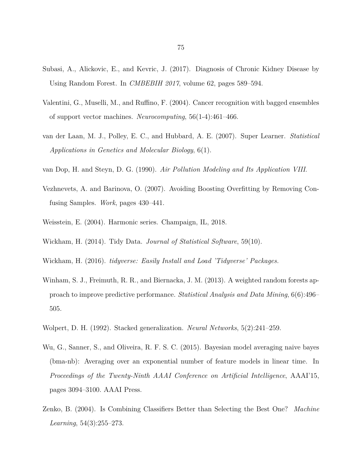- Subasi, A., Alickovic, E., and Kevric, J. (2017). Diagnosis of Chronic Kidney Disease by Using Random Forest. In *CMBEBIH 2017*, volume 62, pages 589–594.
- Valentini, G., Muselli, M., and Ruffino, F. (2004). Cancer recognition with bagged ensembles of support vector machines. *Neurocomputing*, 56(1-4):461–466.
- van der Laan, M. J., Polley, E. C., and Hubbard, A. E. (2007). Super Learner. *Statistical Applications in Genetics and Molecular Biology*, 6(1).
- van Dop, H. and Steyn, D. G. (1990). *Air Pollution Modeling and Its Application VIII*.
- Vezhnevets, A. and Barinova, O. (2007). Avoiding Boosting Overfitting by Removing Confusing Samples. *Work*, pages 430–441.
- Weisstein, E. (2004). Harmonic series. Champaign, IL, 2018.
- Wickham, H. (2014). Tidy Data. *Journal of Statistical Software*, 59(10).
- Wickham, H. (2016). *tidyverse: Easily Install and Load 'Tidyverse' Packages.*
- Winham, S. J., Freimuth, R. R., and Biernacka, J. M. (2013). A weighted random forests approach to improve predictive performance. *Statistical Analysis and Data Mining*, 6(6):496– 505.
- Wolpert, D. H. (1992). Stacked generalization. *Neural Networks*, 5(2):241–259.
- Wu, G., Sanner, S., and Oliveira, R. F. S. C. (2015). Bayesian model averaging naive bayes (bma-nb): Averaging over an exponential number of feature models in linear time. In *Proceedings of the Twenty-Ninth AAAI Conference on Artificial Intelligence*, AAAI'15, pages 3094–3100. AAAI Press.
- Zenko, B. (2004). Is Combining Classifiers Better than Selecting the Best One? *Machine Learning*, 54(3):255–273.